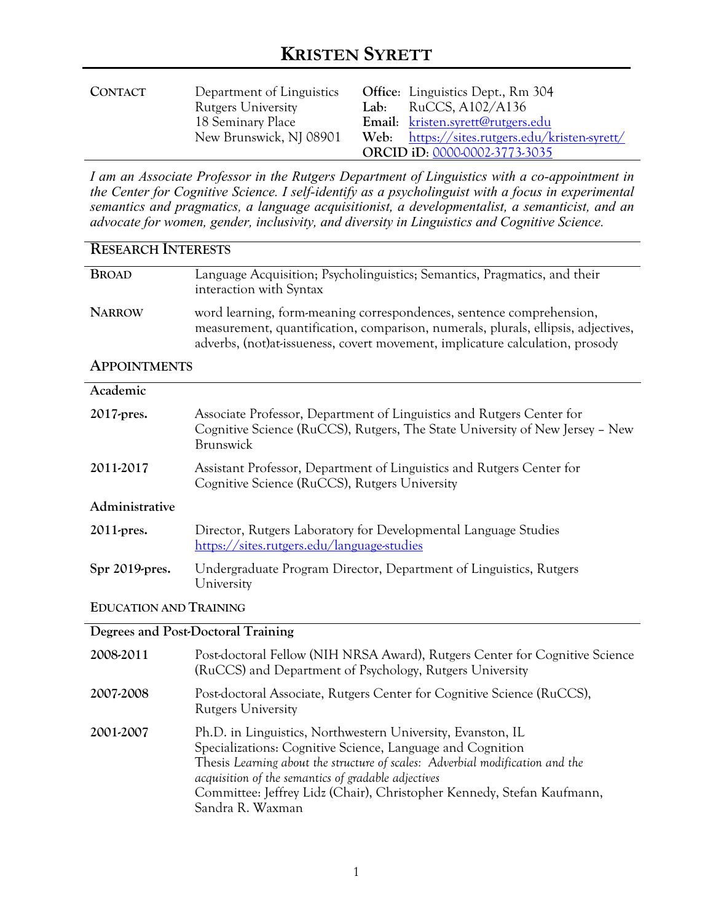| CONTACT | Department of Linguistics | <b>Office:</b> Linguistics Dept., Rm 304       |
|---------|---------------------------|------------------------------------------------|
|         | <b>Rutgers University</b> | Lab: RuCCS, $A102/A136$                        |
|         | 18 Seminary Place         | Email: kristen.syrett@rutgers.edu              |
|         | New Brunswick, NJ 08901   | Web: https://sites.rutgers.edu/kristen-syrett/ |
|         |                           | ORCID iD: 0000-0002-3773-3035                  |

*I am an Associate Professor in the Rutgers Department of Linguistics with a co-appointment in the Center for Cognitive Science. I self-identify as a psycholinguist with a focus in experimental semantics and pragmatics, a language acquisitionist, a developmentalist, a semanticist, and an advocate for women, gender, inclusivity, and diversity in Linguistics and Cognitive Science.* 

| <b>RESEARCH INTERESTS</b>     |                                                                                                                                                                                                                                             |  |
|-------------------------------|---------------------------------------------------------------------------------------------------------------------------------------------------------------------------------------------------------------------------------------------|--|
| <b>BROAD</b>                  | Language Acquisition; Psycholinguistics; Semantics, Pragmatics, and their<br>interaction with Syntax                                                                                                                                        |  |
| <b>NARROW</b>                 | word learning, form-meaning correspondences, sentence comprehension,<br>measurement, quantification, comparison, numerals, plurals, ellipsis, adjectives,<br>adverbs, (not) at-issueness, covert movement, implicature calculation, prosody |  |
| <b>APPOINTMENTS</b>           |                                                                                                                                                                                                                                             |  |
| Academic                      |                                                                                                                                                                                                                                             |  |
| 2017-pres.                    | Associate Professor, Department of Linguistics and Rutgers Center for<br>Cognitive Science (RuCCS), Rutgers, The State University of New Jersey - New<br>Brunswick                                                                          |  |
| 2011-2017                     | Assistant Professor, Department of Linguistics and Rutgers Center for<br>Cognitive Science (RuCCS), Rutgers University                                                                                                                      |  |
| Administrative                |                                                                                                                                                                                                                                             |  |
| 2011-pres.                    | Director, Rutgers Laboratory for Developmental Language Studies<br>https://sites.rutgers.edu/language-studies                                                                                                                               |  |
| Spr 2019-pres.                | Undergraduate Program Director, Department of Linguistics, Rutgers<br>University                                                                                                                                                            |  |
| <b>EDUCATION AND TRAINING</b> |                                                                                                                                                                                                                                             |  |

### **Degrees and Post-Doctoral Training**

| 2008-2011 | Post-doctoral Fellow (NIH NRSA Award), Rutgers Center for Cognitive Science<br>(RuCCS) and Department of Psychology, Rutgers University                                                                                                                                                                                                                         |
|-----------|-----------------------------------------------------------------------------------------------------------------------------------------------------------------------------------------------------------------------------------------------------------------------------------------------------------------------------------------------------------------|
| 2007-2008 | Post-doctoral Associate, Rutgers Center for Cognitive Science (RuCCS),<br><b>Rutgers University</b>                                                                                                                                                                                                                                                             |
| 2001-2007 | Ph.D. in Linguistics, Northwestern University, Evanston, IL<br>Specializations: Cognitive Science, Language and Cognition<br>Thesis Learning about the structure of scales: Adverbial modification and the<br>acquisition of the semantics of gradable adjectives<br>Committee: Jeffrey Lidz (Chair), Christopher Kennedy, Stefan Kaufmann,<br>Sandra R. Waxman |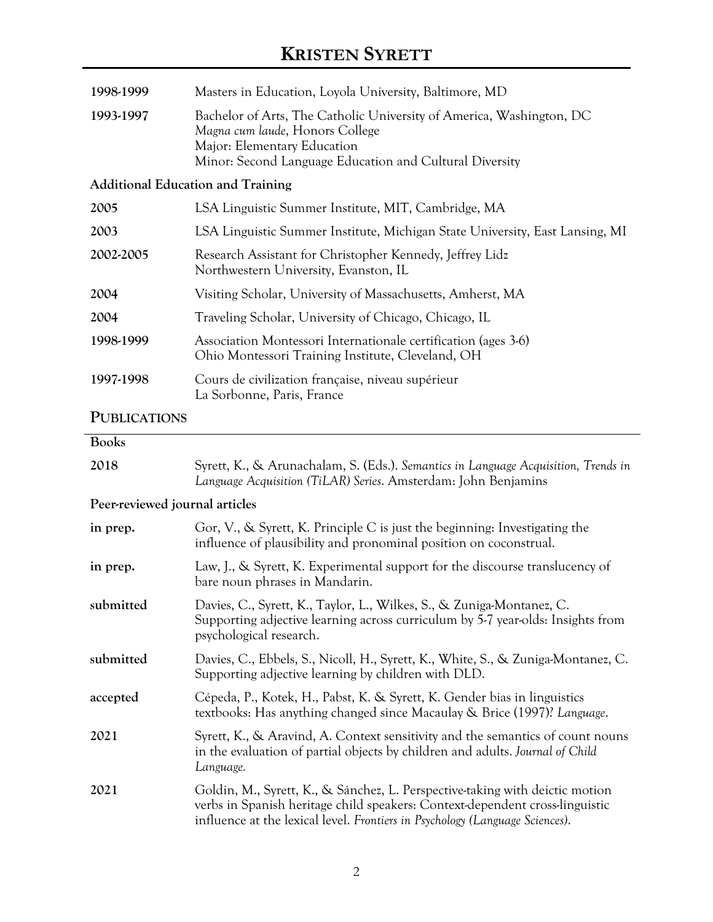| 1998-1999                                | Masters in Education, Loyola University, Baltimore, MD                                                                                                                                            |  |
|------------------------------------------|---------------------------------------------------------------------------------------------------------------------------------------------------------------------------------------------------|--|
| 1993-1997                                | Bachelor of Arts, The Catholic University of America, Washington, DC<br>Magna cum laude, Honors College<br>Major: Elementary Education<br>Minor: Second Language Education and Cultural Diversity |  |
| <b>Additional Education and Training</b> |                                                                                                                                                                                                   |  |
| 2005                                     | LSA Linguistic Summer Institute, MIT, Cambridge, MA                                                                                                                                               |  |
| 2003                                     | LSA Linguistic Summer Institute, Michigan State University, East Lansing, MI                                                                                                                      |  |
| 2002-2005                                | Research Assistant for Christopher Kennedy, Jeffrey Lidz<br>Northwestern University, Evanston, IL                                                                                                 |  |
| 2004                                     | Visiting Scholar, University of Massachusetts, Amherst, MA                                                                                                                                        |  |
| 2004                                     | Traveling Scholar, University of Chicago, Chicago, IL                                                                                                                                             |  |
| 1998-1999                                | Association Montessori Internationale certification (ages 3-6)<br>Ohio Montessori Training Institute, Cleveland, OH                                                                               |  |
| 1997-1998                                | Cours de civilization française, niveau supérieur<br>La Sorbonne, Paris, France                                                                                                                   |  |
| <b>PUBLICATIONS</b>                      |                                                                                                                                                                                                   |  |
| <b>Books</b>                             |                                                                                                                                                                                                   |  |
| 2018                                     | Syrett, K., & Arunachalam, S. (Eds.). Semantics in Language Acquisition, Trends in<br>Language Acquisition (TiLAR) Series. Amsterdam: John Benjamins                                              |  |
| Peer-reviewed journal articles           |                                                                                                                                                                                                   |  |
| in prep.                                 | Gor, V., & Syrett, K. Principle C is just the beginning: Investigating the<br>influence of plausibility and pronominal position on coconstrual.                                                   |  |
| in prep.                                 | Law, J., & Syrett, K. Experimental support for the discourse translucency of<br>bare noun phrases in Mandarin.                                                                                    |  |
| submitted                                | Davies, C., Syrett, K., Taylor, L., Wilkes, S., & Zuniga-Montanez, C.<br>Supporting adjective learning across curriculum by 5-7 year-olds: Insights from<br>psychological research.               |  |

**submitted** Davies, C., Ebbels, S., Nicoll, H., Syrett, K., White, S., & Zuniga-Montanez, C. Supporting adjective learning by children with DLD.

**accepted** Cépeda, P., Kotek, H., Pabst, K. & Syrett, K. Gender bias in linguistics textbooks: Has anything changed since Macaulay & Brice (1997)? *Language*.

**2021** Syrett, K., & Aravind, A. Context sensitivity and the semantics of count nouns in the evaluation of partial objects by children and adults. *Journal of Child Language.*

**2021** Goldin, M., Syrett, K., & Sánchez, L. Perspective-taking with deictic motion verbs in Spanish heritage child speakers: Context-dependent cross-linguistic influence at the lexical level. *Frontiers in Psychology (Language Sciences)*.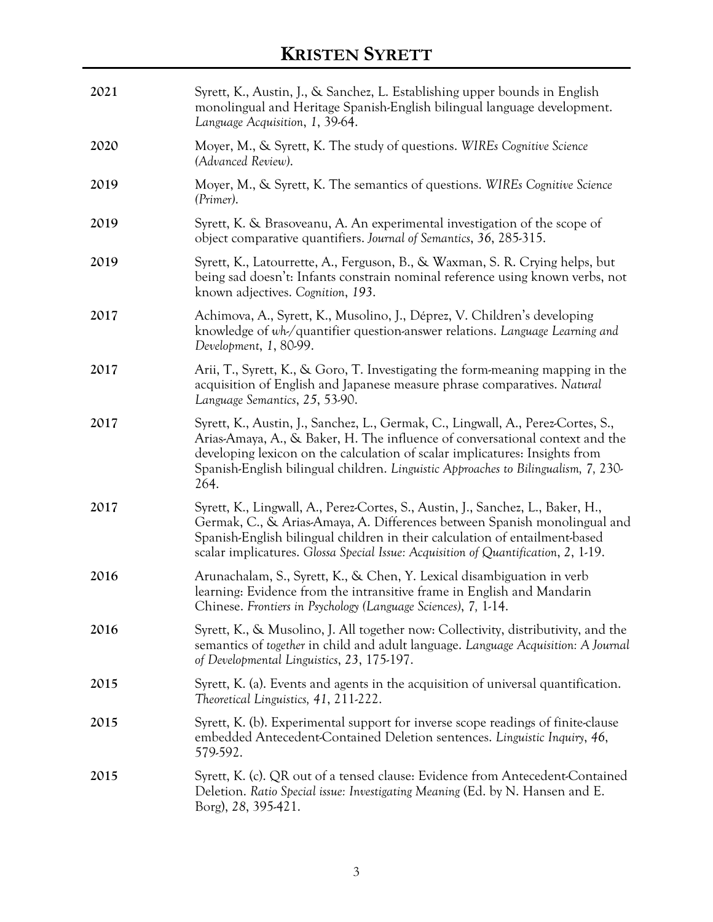| 2021 | Syrett, K., Austin, J., & Sanchez, L. Establishing upper bounds in English<br>monolingual and Heritage Spanish-English bilingual language development.<br>Language Acquisition, 1, 39-64.                                                                                                                                                     |
|------|-----------------------------------------------------------------------------------------------------------------------------------------------------------------------------------------------------------------------------------------------------------------------------------------------------------------------------------------------|
| 2020 | Moyer, M., & Syrett, K. The study of questions. WIREs Cognitive Science<br>(Advanced Review).                                                                                                                                                                                                                                                 |
| 2019 | Moyer, M., & Syrett, K. The semantics of questions. WIREs Cognitive Science<br>(Primer).                                                                                                                                                                                                                                                      |
| 2019 | Syrett, K. & Brasoveanu, A. An experimental investigation of the scope of<br>object comparative quantifiers. Journal of Semantics, 36, 285-315.                                                                                                                                                                                               |
| 2019 | Syrett, K., Latourrette, A., Ferguson, B., & Waxman, S. R. Crying helps, but<br>being sad doesn't: Infants constrain nominal reference using known verbs, not<br>known adjectives. Cognition, 193.                                                                                                                                            |
| 2017 | Achimova, A., Syrett, K., Musolino, J., Déprez, V. Children's developing<br>knowledge of wh-/quantifier question-answer relations. Language Learning and<br>Development, 1, 80-99.                                                                                                                                                            |
| 2017 | Arii, T., Syrett, K., & Goro, T. Investigating the form-meaning mapping in the<br>acquisition of English and Japanese measure phrase comparatives. Natural<br>Language Semantics, 25, 53-90.                                                                                                                                                  |
| 2017 | Syrett, K., Austin, J., Sanchez, L., Germak, C., Lingwall, A., Perez-Cortes, S.,<br>Arias-Amaya, A., & Baker, H. The influence of conversational context and the<br>developing lexicon on the calculation of scalar implicatures: Insights from<br>Spanish-English bilingual children. Linguistic Approaches to Bilingualism, 7, 230-<br>264. |
| 2017 | Syrett, K., Lingwall, A., Perez-Cortes, S., Austin, J., Sanchez, L., Baker, H.,<br>Germak, C., & Arias-Amaya, A. Differences between Spanish monolingual and<br>Spanish-English bilingual children in their calculation of entailment-based<br>scalar implicatures. Glossa Special Issue: Acquisition of Quantification, 2, 1-19.             |
| 2016 | Arunachalam, S., Syrett, K., & Chen, Y. Lexical disambiguation in verb<br>learning: Evidence from the intransitive frame in English and Mandarin<br>Chinese. Frontiers in Psychology (Language Sciences), 7, 1-14.                                                                                                                            |
| 2016 | Syrett, K., & Musolino, J. All together now: Collectivity, distributivity, and the<br>semantics of together in child and adult language. Language Acquisition: A Journal<br>of Developmental Linguistics, 23, 175-197.                                                                                                                        |
| 2015 | Syrett, K. (a). Events and agents in the acquisition of universal quantification.<br>Theoretical Linguistics, 41, 211-222.                                                                                                                                                                                                                    |
| 2015 | Syrett, K. (b). Experimental support for inverse scope readings of finite-clause<br>embedded Antecedent-Contained Deletion sentences. Linguistic Inquiry, 46,<br>579-592.                                                                                                                                                                     |
| 2015 | Syrett, K. (c). QR out of a tensed clause: Evidence from Antecedent-Contained<br>Deletion. Ratio Special issue: Investigating Meaning (Ed. by N. Hansen and E.<br>Borg), 28, 395-421.                                                                                                                                                         |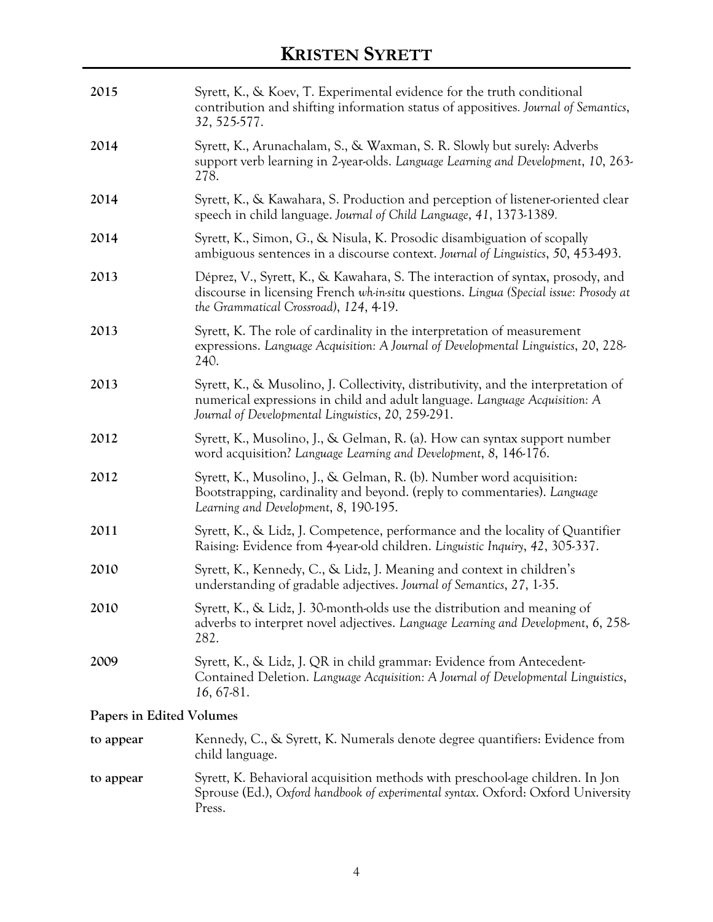| 2015                     | Syrett, K., & Koev, T. Experimental evidence for the truth conditional<br>contribution and shifting information status of appositives. Journal of Semantics,<br>32, 525-577.                                           |  |
|--------------------------|------------------------------------------------------------------------------------------------------------------------------------------------------------------------------------------------------------------------|--|
| 2014                     | Syrett, K., Arunachalam, S., & Waxman, S. R. Slowly but surely: Adverbs<br>support verb learning in 2-year-olds. Language Learning and Development, 10, 263-<br>278.                                                   |  |
| 2014                     | Syrett, K., & Kawahara, S. Production and perception of listener-oriented clear<br>speech in child language. Journal of Child Language, 41, 1373-1389.                                                                 |  |
| 2014                     | Syrett, K., Simon, G., & Nisula, K. Prosodic disambiguation of scopally<br>ambiguous sentences in a discourse context. Journal of Linguistics, 50, 453-493.                                                            |  |
| 2013                     | Déprez, V., Syrett, K., & Kawahara, S. The interaction of syntax, prosody, and<br>discourse in licensing French wh-in-situ questions. Lingua (Special issue: Prosody at<br>the Grammatical Crossroad), 124, 4-19.      |  |
| 2013                     | Syrett, K. The role of cardinality in the interpretation of measurement<br>expressions. Language Acquisition: A Journal of Developmental Linguistics, 20, 228-<br>240.                                                 |  |
| 2013                     | Syrett, K., & Musolino, J. Collectivity, distributivity, and the interpretation of<br>numerical expressions in child and adult language. Language Acquisition: A<br>Journal of Developmental Linguistics, 20, 259-291. |  |
| 2012                     | Syrett, K., Musolino, J., & Gelman, R. (a). How can syntax support number<br>word acquisition? Language Learning and Development, 8, 146-176.                                                                          |  |
| 2012                     | Syrett, K., Musolino, J., & Gelman, R. (b). Number word acquisition:<br>Bootstrapping, cardinality and beyond. (reply to commentaries). Language<br>Learning and Development, 8, 190-195.                              |  |
| 2011                     | Syrett, K., & Lidz, J. Competence, performance and the locality of Quantifier<br>Raising: Evidence from 4-year-old children. Linguistic Inquiry, 42, 305-337.                                                          |  |
| 2010                     | Syrett, K., Kennedy, C., & Lidz, J. Meaning and context in children's<br>understanding of gradable adjectives. Journal of Semantics, 27, 1-35.                                                                         |  |
| 2010                     | Syrett, K., & Lidz, J. 30-month-olds use the distribution and meaning of<br>adverbs to interpret novel adjectives. Language Learning and Development, 6, 258-<br>282.                                                  |  |
| 2009                     | Syrett, K., & Lidz, J. QR in child grammar: Evidence from Antecedent-<br>Contained Deletion. Language Acquisition: A Journal of Developmental Linguistics,<br>16, 67-81.                                               |  |
| Papers in Edited Volumes |                                                                                                                                                                                                                        |  |

| to appear | Kennedy, C., & Syrett, K. Numerals denote degree quantifiers: Evidence from<br>child language.                                                                              |
|-----------|-----------------------------------------------------------------------------------------------------------------------------------------------------------------------------|
| to appear | Syrett, K. Behavioral acquisition methods with preschool-age children. In Jon<br>Sprouse (Ed.), Oxford handbook of experimental syntax. Oxford: Oxford University<br>Press. |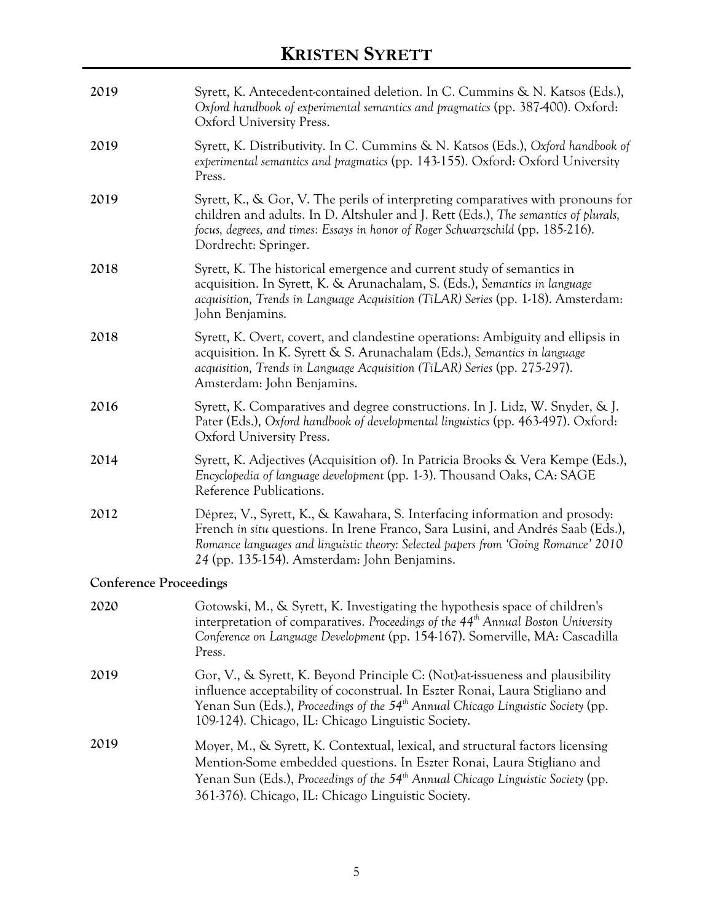| 2019                          | Syrett, K. Antecedent-contained deletion. In C. Cummins & N. Katsos (Eds.),<br>Oxford handbook of experimental semantics and pragmatics (pp. 387-400). Oxford:<br>Oxford University Press.                                                                                                                |
|-------------------------------|-----------------------------------------------------------------------------------------------------------------------------------------------------------------------------------------------------------------------------------------------------------------------------------------------------------|
| 2019                          | Syrett, K. Distributivity. In C. Cummins & N. Katsos (Eds.), Oxford handbook of<br>experimental semantics and pragmatics (pp. 143-155). Oxford: Oxford University<br>Press.                                                                                                                               |
| 2019                          | Syrett, K., & Gor, V. The perils of interpreting comparatives with pronouns for<br>children and adults. In D. Altshuler and J. Rett (Eds.), The semantics of plurals,<br>focus, degrees, and times: Essays in honor of Roger Schwarzschild (pp. 185-216).<br>Dordrecht: Springer.                         |
| 2018                          | Syrett, K. The historical emergence and current study of semantics in<br>acquisition. In Syrett, K. & Arunachalam, S. (Eds.), Semantics in language<br>acquisition, Trends in Language Acquisition (TiLAR) Series (pp. 1-18). Amsterdam:<br>John Benjamins.                                               |
| 2018                          | Syrett, K. Overt, covert, and clandestine operations: Ambiguity and ellipsis in<br>acquisition. In K. Syrett & S. Arunachalam (Eds.), Semantics in language<br>acquisition, Trends in Language Acquisition (TiLAR) Series (pp. 275-297).<br>Amsterdam: John Benjamins.                                    |
| 2016                          | Syrett, K. Comparatives and degree constructions. In J. Lidz, W. Snyder, & J.<br>Pater (Eds.), Oxford handbook of developmental linguistics (pp. 463-497). Oxford:<br>Oxford University Press.                                                                                                            |
| 2014                          | Syrett, K. Adjectives (Acquisition of). In Patricia Brooks & Vera Kempe (Eds.),<br>Encyclopedia of language development (pp. 1-3). Thousand Oaks, CA: SAGE<br>Reference Publications.                                                                                                                     |
| 2012                          | Déprez, V., Syrett, K., & Kawahara, S. Interfacing information and prosody:<br>French in situ questions. In Irene Franco, Sara Lusini, and Andrés Saab (Eds.),<br>Romance languages and linguistic theory: Selected papers from 'Going Romance' 2010<br>24 (pp. 135-154). Amsterdam: John Benjamins.      |
| <b>Conference Proceedings</b> |                                                                                                                                                                                                                                                                                                           |
| 2020                          | Gotowski, M., & Syrett, K. Investigating the hypothesis space of children's<br>interpretation of comparatives. Proceedings of the $44th$ Annual Boston University<br>Conference on Language Development (pp. 154-167). Somerville, MA: Cascadilla<br>Press.                                               |
| 2019                          | Gor, V., & Syrett, K. Beyond Principle C: (Not)-at-issueness and plausibility<br>influence acceptability of coconstrual. In Eszter Ronai, Laura Stigliano and<br>Yenan Sun (Eds.), Proceedings of the $54th$ Annual Chicago Linguistic Society (pp.<br>109-124). Chicago, IL: Chicago Linguistic Society. |
| 2019                          | Moyer, M., & Syrett, K. Contextual, lexical, and structural factors licensing<br>Mention-Some embedded questions. In Eszter Ronai, Laura Stigliano and<br>Yenan Sun (Eds.), Proceedings of the $54th$ Annual Chicago Linguistic Society (pp.<br>361-376). Chicago, IL: Chicago Linguistic Society.        |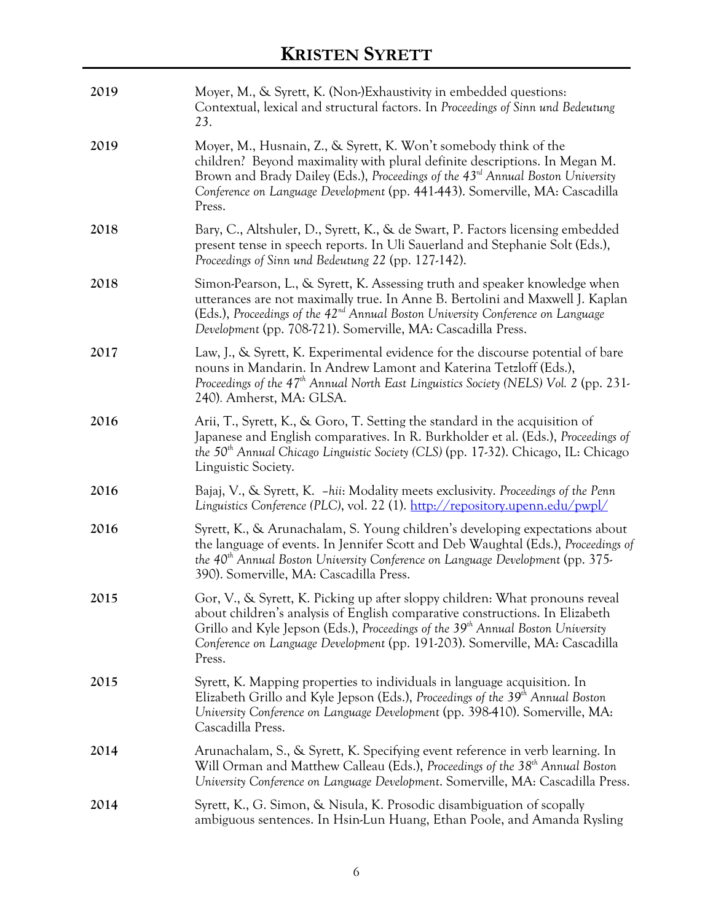| 2019 | Moyer, M., & Syrett, K. (Non-)Exhaustivity in embedded questions:<br>Contextual, lexical and structural factors. In Proceedings of Sinn und Bedeutung<br>23.                                                                                                                                                                                          |
|------|-------------------------------------------------------------------------------------------------------------------------------------------------------------------------------------------------------------------------------------------------------------------------------------------------------------------------------------------------------|
| 2019 | Moyer, M., Husnain, Z., & Syrett, K. Won't somebody think of the<br>children? Beyond maximality with plural definite descriptions. In Megan M.<br>Brown and Brady Dailey (Eds.), Proceedings of the 43 <sup>rd</sup> Annual Boston University<br>Conference on Language Development (pp. 441-443). Somerville, MA: Cascadilla<br>Press.               |
| 2018 | Bary, C., Altshuler, D., Syrett, K., & de Swart, P. Factors licensing embedded<br>present tense in speech reports. In Uli Sauerland and Stephanie Solt (Eds.),<br>Proceedings of Sinn und Bedeutung 22 (pp. 127-142).                                                                                                                                 |
| 2018 | Simon-Pearson, L., & Syrett, K. Assessing truth and speaker knowledge when<br>utterances are not maximally true. In Anne B. Bertolini and Maxwell J. Kaplan<br>(Eds.), Proceedings of the $42^{\text{nd}}$ Annual Boston University Conference on Language<br>Development (pp. 708-721). Somerville, MA: Cascadilla Press.                            |
| 2017 | Law, J., & Syrett, K. Experimental evidence for the discourse potential of bare<br>nouns in Mandarin. In Andrew Lamont and Katerina Tetzloff (Eds.),<br>Proceedings of the 47 <sup>th</sup> Annual North East Linguistics Society (NELS) Vol. 2 (pp. 231-<br>240). Amherst, MA: GLSA.                                                                 |
| 2016 | Arii, T., Syrett, K., & Goro, T. Setting the standard in the acquisition of<br>Japanese and English comparatives. In R. Burkholder et al. (Eds.), Proceedings of<br>the 50 <sup>th</sup> Annual Chicago Linguistic Society (CLS) (pp. 17-32). Chicago, IL: Chicago<br>Linguistic Society.                                                             |
| 2016 | Bajaj, V., & Syrett, K. -hii: Modality meets exclusivity. Proceedings of the Penn<br>Linguistics Conference (PLC), vol. 22 (1). http://repository.upenn.edu/pwpl/                                                                                                                                                                                     |
| 2016 | Syrett, K., & Arunachalam, S. Young children's developing expectations about<br>the language of events. In Jennifer Scott and Deb Waughtal (Eds.), Proceedings of<br>the 40 <sup>th</sup> Annual Boston University Conference on Language Development (pp. 375-<br>390). Somerville, MA: Cascadilla Press.                                            |
| 2015 | Gor, V., & Syrett, K. Picking up after sloppy children: What pronouns reveal<br>about children's analysis of English comparative constructions. In Elizabeth<br>Grillo and Kyle Jepson (Eds.), Proceedings of the 39 <sup>th</sup> Annual Boston University<br>Conference on Language Development (pp. 191-203). Somerville, MA: Cascadilla<br>Press. |
| 2015 | Syrett, K. Mapping properties to individuals in language acquisition. In<br>Elizabeth Grillo and Kyle Jepson (Eds.), Proceedings of the 39 <sup>th</sup> Annual Boston<br>University Conference on Language Development (pp. 398-410). Somerville, MA:<br>Cascadilla Press.                                                                           |
| 2014 | Arunachalam, S., & Syrett, K. Specifying event reference in verb learning. In<br>Will Orman and Matthew Calleau (Eds.), Proceedings of the 38 <sup>th</sup> Annual Boston<br>University Conference on Language Development. Somerville, MA: Cascadilla Press.                                                                                         |
| 2014 | Syrett, K., G. Simon, & Nisula, K. Prosodic disambiguation of scopally<br>ambiguous sentences. In Hsin-Lun Huang, Ethan Poole, and Amanda Rysling                                                                                                                                                                                                     |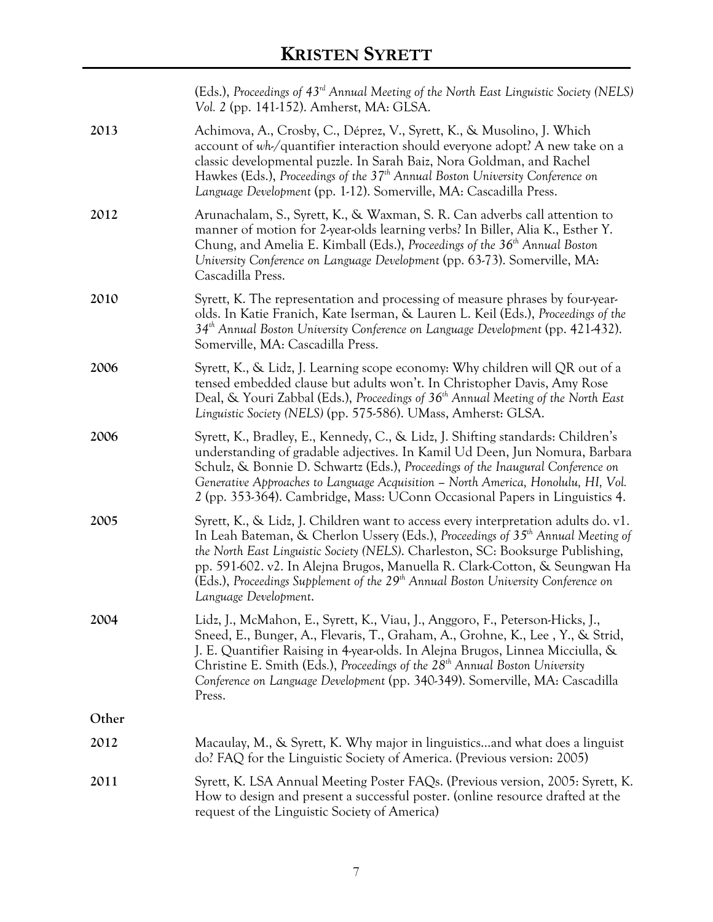|       | (Eds.), Proceedings of 43 <sup>rd</sup> Annual Meeting of the North East Linguistic Society (NELS)<br>Vol. 2 (pp. 141-152). Amherst, MA: GLSA.                                                                                                                                                                                                                                                                                                                               |
|-------|------------------------------------------------------------------------------------------------------------------------------------------------------------------------------------------------------------------------------------------------------------------------------------------------------------------------------------------------------------------------------------------------------------------------------------------------------------------------------|
| 2013  | Achimova, A., Crosby, C., Déprez, V., Syrett, K., & Musolino, J. Which<br>account of wh-/quantifier interaction should everyone adopt? A new take on a<br>classic developmental puzzle. In Sarah Baiz, Nora Goldman, and Rachel<br>Hawkes (Eds.), Proceedings of the 37 <sup>th</sup> Annual Boston University Conference on<br>Language Development (pp. 1-12). Somerville, MA: Cascadilla Press.                                                                           |
| 2012  | Arunachalam, S., Syrett, K., & Waxman, S. R. Can adverbs call attention to<br>manner of motion for 2-year-olds learning verbs? In Biller, Alia K., Esther Y.<br>Chung, and Amelia E. Kimball (Eds.), Proceedings of the 36 <sup>th</sup> Annual Boston<br>University Conference on Language Development (pp. 63-73). Somerville, MA:<br>Cascadilla Press.                                                                                                                    |
| 2010  | Syrett, K. The representation and processing of measure phrases by four-year-<br>olds. In Katie Franich, Kate Iserman, & Lauren L. Keil (Eds.), Proceedings of the<br>$34th$ Annual Boston University Conference on Language Development (pp. 421-432).<br>Somerville, MA: Cascadilla Press.                                                                                                                                                                                 |
| 2006  | Syrett, K., & Lidz, J. Learning scope economy: Why children will QR out of a<br>tensed embedded clause but adults won't. In Christopher Davis, Amy Rose<br>Deal, & Youri Zabbal (Eds.), Proceedings of 36 <sup>th</sup> Annual Meeting of the North East<br>Linguistic Society (NELS) (pp. 575-586). UMass, Amherst: GLSA.                                                                                                                                                   |
| 2006  | Syrett, K., Bradley, E., Kennedy, C., & Lidz, J. Shifting standards: Children's<br>understanding of gradable adjectives. In Kamil Ud Deen, Jun Nomura, Barbara<br>Schulz, & Bonnie D. Schwartz (Eds.), Proceedings of the Inaugural Conference on<br>Generative Approaches to Language Acquisition - North America, Honolulu, HI, Vol.<br>2 (pp. 353-364). Cambridge, Mass: UConn Occasional Papers in Linguistics 4.                                                        |
| 2005  | Syrett, K., & Lidz, J. Children want to access every interpretation adults do. v1.<br>In Leah Bateman, & Cherlon Ussery (Eds.), Proceedings of 35 <sup>th</sup> Annual Meeting of<br>the North East Linguistic Society (NELS). Charleston, SC: Booksurge Publishing,<br>pp. 591-602. v2. In Alejna Brugos, Manuella R. Clark-Cotton, & Seungwan Ha<br>(Eds.), Proceedings Supplement of the 29 <sup>th</sup> Annual Boston University Conference on<br>Language Development. |
| 2004  | Lidz, J., McMahon, E., Syrett, K., Viau, J., Anggoro, F., Peterson-Hicks, J.,<br>Sneed, E., Bunger, A., Flevaris, T., Graham, A., Grohne, K., Lee, Y., & Strid,<br>J. E. Quantifier Raising in 4-year-olds. In Alejna Brugos, Linnea Micciulla, &<br>Christine E. Smith (Eds.), Proceedings of the 28 <sup>th</sup> Annual Boston University<br>Conference on Language Development (pp. 340-349). Somerville, MA: Cascadilla<br>Press.                                       |
| Other |                                                                                                                                                                                                                                                                                                                                                                                                                                                                              |
| 2012  | Macaulay, M., & Syrett, K. Why major in linguisticsand what does a linguist<br>do? FAQ for the Linguistic Society of America. (Previous version: 2005)                                                                                                                                                                                                                                                                                                                       |
| 2011  | Syrett, K. LSA Annual Meeting Poster FAQs. (Previous version, 2005: Syrett, K.<br>How to design and present a successful poster. (online resource drafted at the<br>request of the Linguistic Society of America)                                                                                                                                                                                                                                                            |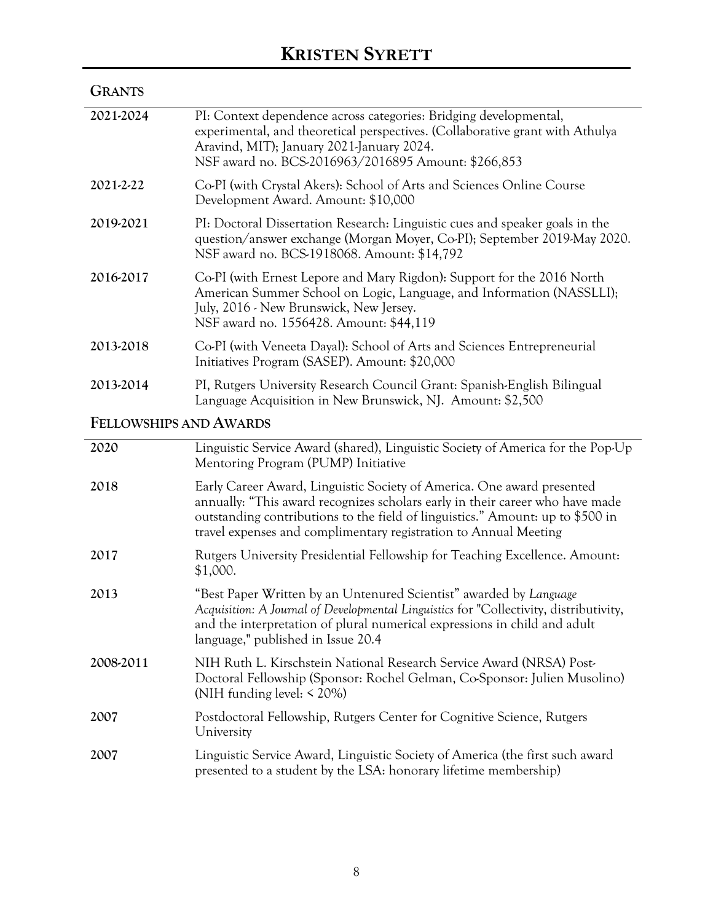| <b>GRANTS</b> |                                                                                                                                                                                                                                                        |
|---------------|--------------------------------------------------------------------------------------------------------------------------------------------------------------------------------------------------------------------------------------------------------|
| 2021-2024     | PI: Context dependence across categories: Bridging developmental,<br>experimental, and theoretical perspectives. (Collaborative grant with Athulya<br>Aravind, MIT); January 2021-January 2024.<br>NSF award no. BCS-2016963/2016895 Amount: \$266,853 |
| 2021-2-22     | Co-PI (with Crystal Akers): School of Arts and Sciences Online Course<br>Development Award. Amount: \$10,000                                                                                                                                           |
| 2019-2021     | PI: Doctoral Dissertation Research: Linguistic cues and speaker goals in the<br>question/answer exchange (Morgan Moyer, Co-PI); September 2019-May 2020.<br>NSF award no. BCS-1918068. Amount: \$14,792                                                |
| 2016-2017     | Co-PI (with Ernest Lepore and Mary Rigdon): Support for the 2016 North<br>American Summer School on Logic, Language, and Information (NASSLLI);<br>July, 2016 - New Brunswick, New Jersey.<br>NSF award no. 1556428. Amount: \$44,119                  |
| 2013-2018     | Co-PI (with Veneeta Dayal): School of Arts and Sciences Entrepreneurial<br>Initiatives Program (SASEP). Amount: \$20,000                                                                                                                               |
| 2013-2014     | PI, Rutgers University Research Council Grant: Spanish-English Bilingual<br>Language Acquisition in New Brunswick, NJ. Amount: \$2,500                                                                                                                 |

### **FELLOWSHIPS AND AWARDS**

| 2020      | Linguistic Service Award (shared), Linguistic Society of America for the Pop-Up<br>Mentoring Program (PUMP) Initiative                                                                                                                                                                                        |
|-----------|---------------------------------------------------------------------------------------------------------------------------------------------------------------------------------------------------------------------------------------------------------------------------------------------------------------|
| 2018      | Early Career Award, Linguistic Society of America. One award presented<br>annually: "This award recognizes scholars early in their career who have made<br>outstanding contributions to the field of linguistics." Amount: up to \$500 in<br>travel expenses and complimentary registration to Annual Meeting |
| 2017      | Rutgers University Presidential Fellowship for Teaching Excellence. Amount:<br>\$1,000.                                                                                                                                                                                                                       |
| 2013      | "Best Paper Written by an Untenured Scientist" awarded by Language<br>Acquisition: A Journal of Developmental Linguistics for "Collectivity, distributivity,<br>and the interpretation of plural numerical expressions in child and adult<br>language," published in Issue 20.4                               |
| 2008-2011 | NIH Ruth L. Kirschstein National Research Service Award (NRSA) Post-<br>Doctoral Fellowship (Sponsor: Rochel Gelman, Co-Sponsor: Julien Musolino)<br>(NIH funding level: $\leq$ 20%)                                                                                                                          |
| 2007      | Postdoctoral Fellowship, Rutgers Center for Cognitive Science, Rutgers<br>University                                                                                                                                                                                                                          |
| 2007      | Linguistic Service Award, Linguistic Society of America (the first such award<br>presented to a student by the LSA: honorary lifetime membership)                                                                                                                                                             |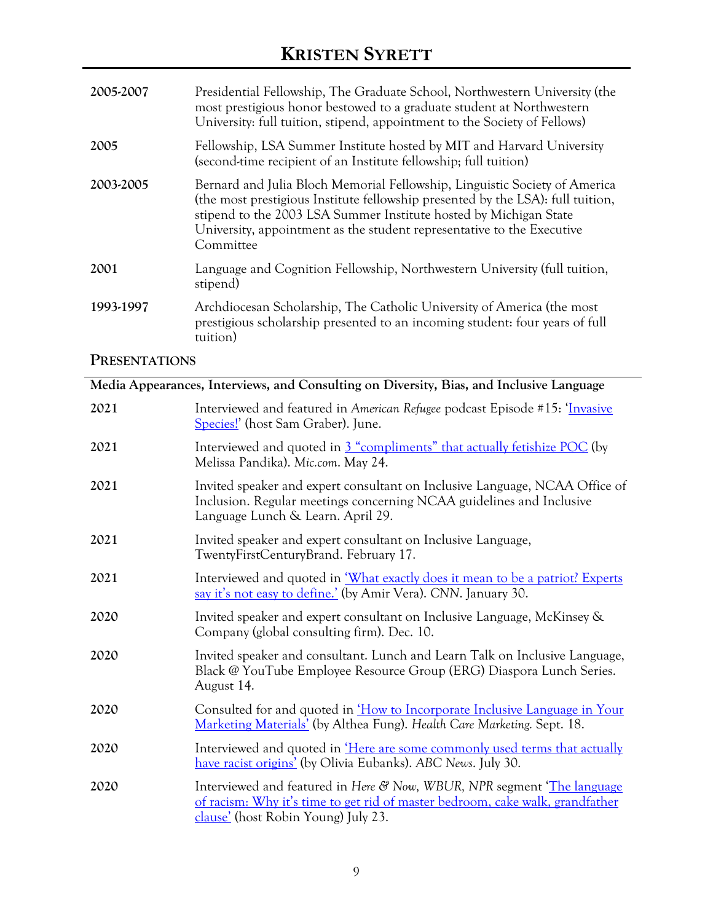| 2005-2007                                           | Presidential Fellowship, The Graduate School, Northwestern University (the<br>most prestigious honor bestowed to a graduate student at Northwestern<br>University: full tuition, stipend, appointment to the Society of Fellows)                                                                                          |
|-----------------------------------------------------|---------------------------------------------------------------------------------------------------------------------------------------------------------------------------------------------------------------------------------------------------------------------------------------------------------------------------|
| 2005                                                | Fellowship, LSA Summer Institute hosted by MIT and Harvard University<br>(second-time recipient of an Institute fellowship; full tuition)                                                                                                                                                                                 |
| 2003-2005                                           | Bernard and Julia Bloch Memorial Fellowship, Linguistic Society of America<br>(the most prestigious Institute fellowship presented by the LSA): full tuition,<br>stipend to the 2003 LSA Summer Institute hosted by Michigan State<br>University, appointment as the student representative to the Executive<br>Committee |
| 2001                                                | Language and Cognition Fellowship, Northwestern University (full tuition,<br>stipend)                                                                                                                                                                                                                                     |
| 1993-1997                                           | Archdiocesan Scholarship, The Catholic University of America (the most<br>prestigious scholarship presented to an incoming student: four years of full<br>tuition)                                                                                                                                                        |
| $\mathbf{D}_{\mathbf{D}}$ $\mathbf{D}_{\mathbf{D}}$ |                                                                                                                                                                                                                                                                                                                           |

### **PRESENTATIONS**

| Media Appearances, Interviews, and Consulting on Diversity, Bias, and Inclusive Language |                                                                                                                                                                                                  |  |
|------------------------------------------------------------------------------------------|--------------------------------------------------------------------------------------------------------------------------------------------------------------------------------------------------|--|
| 2021                                                                                     | Interviewed and featured in American Refugee podcast Episode #15: 'Invasive<br>Species!' (host Sam Graber). June.                                                                                |  |
| 2021                                                                                     | Interviewed and quoted in 3 "compliments" that actually fetishize POC (by<br>Melissa Pandika). Mic.com. May 24.                                                                                  |  |
| 2021                                                                                     | Invited speaker and expert consultant on Inclusive Language, NCAA Office of<br>Inclusion. Regular meetings concerning NCAA guidelines and Inclusive<br>Language Lunch & Learn. April 29.         |  |
| 2021                                                                                     | Invited speaker and expert consultant on Inclusive Language,<br>TwentyFirstCenturyBrand. February 17.                                                                                            |  |
| 2021                                                                                     | Interviewed and quoted in <i>What exactly does it mean to be a patriot?</i> Experts<br>say it's not easy to define.' (by Amir Vera). CNN. January 30.                                            |  |
| 2020                                                                                     | Invited speaker and expert consultant on Inclusive Language, McKinsey &<br>Company (global consulting firm). Dec. 10.                                                                            |  |
| 2020                                                                                     | Invited speaker and consultant. Lunch and Learn Talk on Inclusive Language,<br>Black @ YouTube Employee Resource Group (ERG) Diaspora Lunch Series.<br>August 14.                                |  |
| 2020                                                                                     | Consulted for and quoted in <i>How to Incorporate Inclusive Language in Your</i><br>Marketing Materials' (by Althea Fung). Health Care Marketing. Sept. 18.                                      |  |
| 2020                                                                                     | Interviewed and quoted in <u>'Here are some commonly used terms that actually</u><br>have racist origins' (by Olivia Eubanks). ABC News. July 30.                                                |  |
| 2020                                                                                     | Interviewed and featured in Here & Now, WBUR, NPR segment 'The language'<br>of racism: Why it's time to get rid of master bedroom, cake walk, grandfather<br>clause' (host Robin Young) July 23. |  |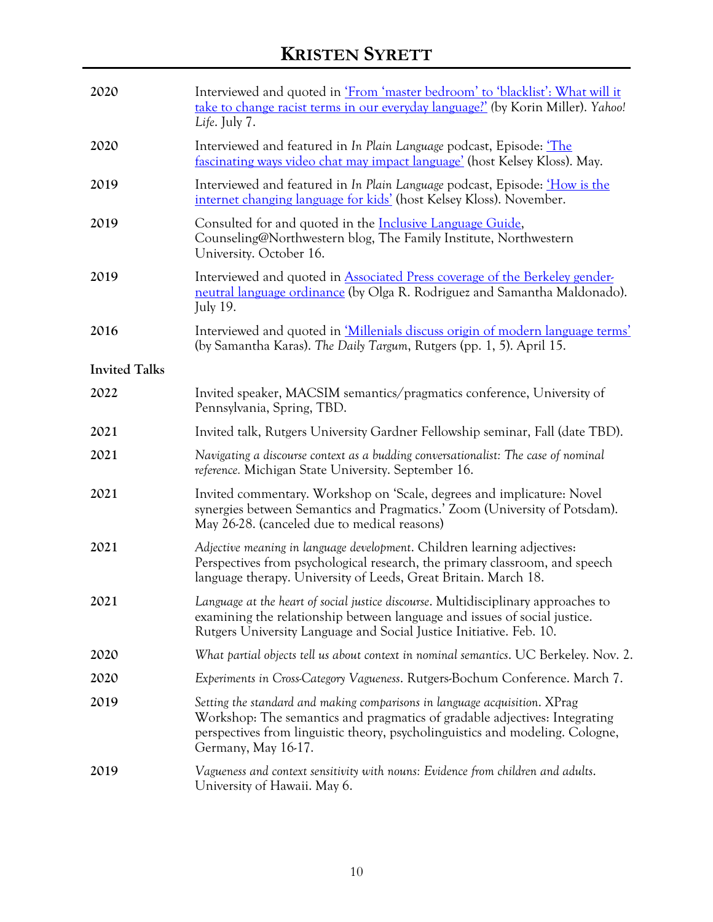| 2020                 | Interviewed and quoted in 'From 'master bedroom' to 'blacklist': What will it<br>take to change racist terms in our everyday language?' (by Korin Miller). Yahoo!<br>Life. July 7.                                                                               |  |
|----------------------|------------------------------------------------------------------------------------------------------------------------------------------------------------------------------------------------------------------------------------------------------------------|--|
| 2020                 | Interviewed and featured in In Plain Language podcast, Episode: 'The<br><u>fascinating ways video chat may impact language'</u> (host Kelsey Kloss). May.                                                                                                        |  |
| 2019                 | Interviewed and featured in In Plain Language podcast, Episode: <i>How is the</i><br><u>internet changing language for kids'</u> (host Kelsey Kloss). November.                                                                                                  |  |
| 2019                 | Consulted for and quoted in the <b>Inclusive Language Guide</b> ,<br>Counseling@Northwestern blog, The Family Institute, Northwestern<br>University. October 16.                                                                                                 |  |
| 2019                 | Interviewed and quoted in Associated Press coverage of the Berkeley gender-<br>neutral language ordinance (by Olga R. Rodriguez and Samantha Maldonado).<br>July 19.                                                                                             |  |
| 2016                 | Interviewed and quoted in <i>Millenials discuss origin of modern language terms'</i><br>(by Samantha Karas). The Daily Targum, Rutgers (pp. 1, 5). April 15.                                                                                                     |  |
| <b>Invited Talks</b> |                                                                                                                                                                                                                                                                  |  |
| 2022                 | Invited speaker, MACSIM semantics/pragmatics conference, University of<br>Pennsylvania, Spring, TBD.                                                                                                                                                             |  |
| 2021                 | Invited talk, Rutgers University Gardner Fellowship seminar, Fall (date TBD).                                                                                                                                                                                    |  |
| 2021                 | Navigating a discourse context as a budding conversationalist: The case of nominal<br>reference. Michigan State University. September 16.                                                                                                                        |  |
| 2021                 | Invited commentary. Workshop on 'Scale, degrees and implicature: Novel<br>synergies between Semantics and Pragmatics.' Zoom (University of Potsdam).<br>May 26-28. (canceled due to medical reasons)                                                             |  |
| 2021                 | Adjective meaning in language development. Children learning adjectives:<br>Perspectives from psychological research, the primary classroom, and speech<br>language therapy. University of Leeds, Great Britain. March 18.                                       |  |
| 2021                 | Language at the heart of social justice discourse. Multidisciplinary approaches to<br>examining the relationship between language and issues of social justice.<br>Rutgers University Language and Social Justice Initiative. Feb. 10.                           |  |
| 2020                 | What partial objects tell us about context in nominal semantics. UC Berkeley. Nov. 2.                                                                                                                                                                            |  |
| 2020                 | Experiments in Cross-Category Vagueness. Rutgers-Bochum Conference. March 7.                                                                                                                                                                                     |  |
| 2019                 | Setting the standard and making comparisons in language acquisition. XPrag<br>Workshop: The semantics and pragmatics of gradable adjectives: Integrating<br>perspectives from linguistic theory, psycholinguistics and modeling. Cologne,<br>Germany, May 16-17. |  |
| 2019                 | Vagueness and context sensitivity with nouns: Evidence from children and adults.<br>University of Hawaii. May 6.                                                                                                                                                 |  |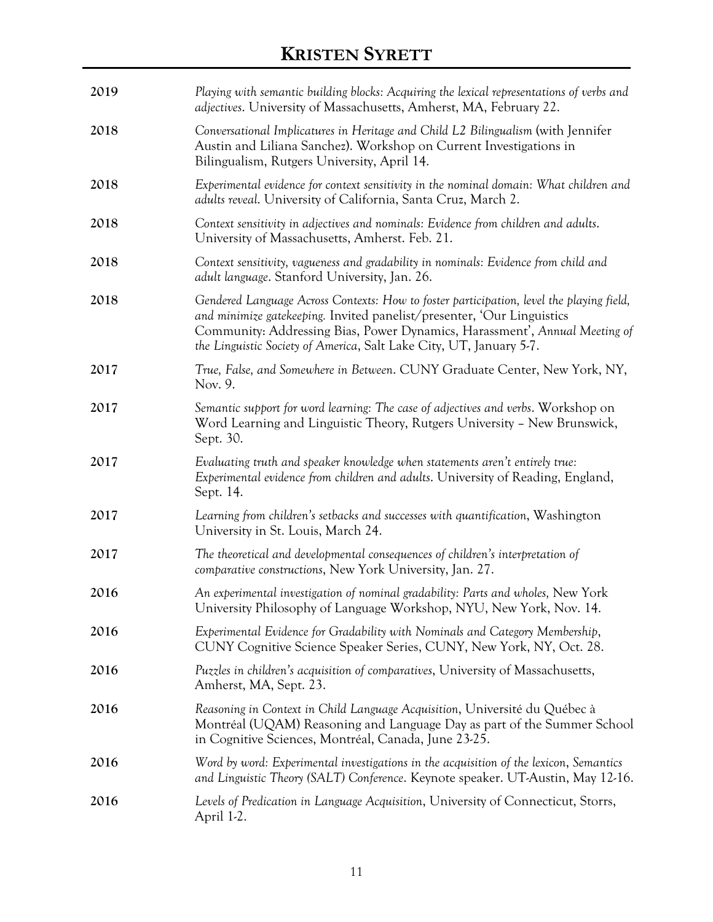| 2019 | Playing with semantic building blocks: Acquiring the lexical representations of verbs and<br><i>adjectives</i> . University of Massachusetts, Amherst, MA, February 22.                                                                                                                                                 |  |  |  |
|------|-------------------------------------------------------------------------------------------------------------------------------------------------------------------------------------------------------------------------------------------------------------------------------------------------------------------------|--|--|--|
| 2018 | Conversational Implicatures in Heritage and Child L2 Bilingualism (with Jennifer<br>Austin and Liliana Sanchez). Workshop on Current Investigations in<br>Bilingualism, Rutgers University, April 14.                                                                                                                   |  |  |  |
| 2018 | Experimental evidence for context sensitivity in the nominal domain: What children and<br>adults reveal. University of California, Santa Cruz, March 2.                                                                                                                                                                 |  |  |  |
| 2018 | Context sensitivity in adjectives and nominals: Evidence from children and adults.<br>University of Massachusetts, Amherst. Feb. 21.                                                                                                                                                                                    |  |  |  |
| 2018 | Context sensitivity, vagueness and gradability in nominals: Evidence from child and<br>adult language. Stanford University, Jan. 26.                                                                                                                                                                                    |  |  |  |
| 2018 | Gendered Language Across Contexts: How to foster participation, level the playing field,<br>and minimize gatekeeping. Invited panelist/presenter, 'Our Linguistics<br>Community: Addressing Bias, Power Dynamics, Harassment', Annual Meeting of<br>the Linguistic Society of America, Salt Lake City, UT, January 5-7. |  |  |  |
| 2017 | True, False, and Somewhere in Between. CUNY Graduate Center, New York, NY,<br>Nov. 9.                                                                                                                                                                                                                                   |  |  |  |
| 2017 | Semantic support for word learning: The case of adjectives and verbs. Workshop on<br>Word Learning and Linguistic Theory, Rutgers University - New Brunswick,<br>Sept. 30.                                                                                                                                              |  |  |  |
| 2017 | Evaluating truth and speaker knowledge when statements aren't entirely true:<br>Experimental evidence from children and adults. University of Reading, England,<br>Sept. 14.                                                                                                                                            |  |  |  |
| 2017 | Learning from children's setbacks and successes with quantification, Washington<br>University in St. Louis, March 24.                                                                                                                                                                                                   |  |  |  |
| 2017 | The theoretical and developmental consequences of children's interpretation of<br>comparative constructions, New York University, Jan. 27.                                                                                                                                                                              |  |  |  |
| 2016 | An experimental investigation of nominal gradability: Parts and wholes, New York<br>University Philosophy of Language Workshop, NYU, New York, Nov. 14.                                                                                                                                                                 |  |  |  |
| 2016 | Experimental Evidence for Gradability with Nominals and Category Membership,<br>CUNY Cognitive Science Speaker Series, CUNY, New York, NY, Oct. 28.                                                                                                                                                                     |  |  |  |
| 2016 | Puzzles in children's acquisition of comparatives, University of Massachusetts,<br>Amherst, MA, Sept. 23.                                                                                                                                                                                                               |  |  |  |
| 2016 | Reasoning in Context in Child Language Acquisition, Université du Québec à<br>Montréal (UQAM) Reasoning and Language Day as part of the Summer School<br>in Cognitive Sciences, Montréal, Canada, June 23-25.                                                                                                           |  |  |  |
| 2016 | Word by word: Experimental investigations in the acquisition of the lexicon, Semantics<br>and Linguistic Theory (SALT) Conference. Keynote speaker. UT-Austin, May 12-16.                                                                                                                                               |  |  |  |
| 2016 | Levels of Predication in Language Acquisition, University of Connecticut, Storrs,<br>April 1-2.                                                                                                                                                                                                                         |  |  |  |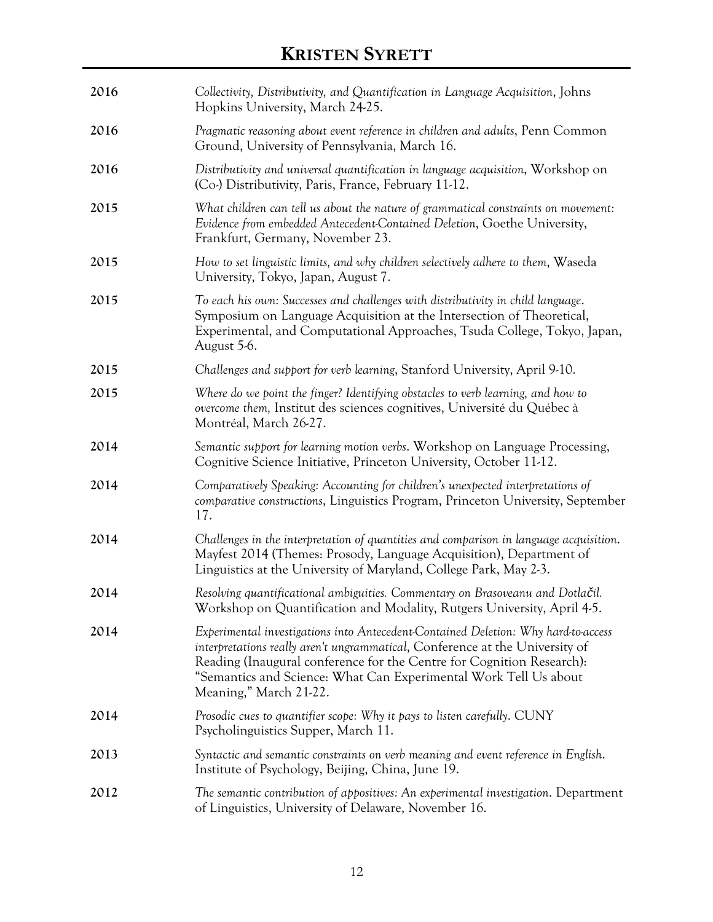| 2016 | Collectivity, Distributivity, and Quantification in Language Acquisition, Johns<br>Hopkins University, March 24-25.                                                                                                                                                                                                                       |  |  |
|------|-------------------------------------------------------------------------------------------------------------------------------------------------------------------------------------------------------------------------------------------------------------------------------------------------------------------------------------------|--|--|
| 2016 | Pragmatic reasoning about event reference in children and adults, Penn Common<br>Ground, University of Pennsylvania, March 16.                                                                                                                                                                                                            |  |  |
| 2016 | Distributivity and universal quantification in language acquisition, Workshop on<br>(Co-) Distributivity, Paris, France, February 11-12.                                                                                                                                                                                                  |  |  |
| 2015 | What children can tell us about the nature of grammatical constraints on movement:<br>Evidence from embedded Antecedent-Contained Deletion, Goethe University,<br>Frankfurt, Germany, November 23.                                                                                                                                        |  |  |
| 2015 | How to set linguistic limits, and why children selectively adhere to them, Waseda<br>University, Tokyo, Japan, August 7.                                                                                                                                                                                                                  |  |  |
| 2015 | To each his own: Successes and challenges with distributivity in child language.<br>Symposium on Language Acquisition at the Intersection of Theoretical,<br>Experimental, and Computational Approaches, Tsuda College, Tokyo, Japan,<br>August 5-6.                                                                                      |  |  |
| 2015 | Challenges and support for verb learning, Stanford University, April 9-10.                                                                                                                                                                                                                                                                |  |  |
| 2015 | Where do we point the finger? Identifying obstacles to verb learning, and how to<br>overcome them, Institut des sciences cognitives, Université du Québec à<br>Montréal, March 26-27.                                                                                                                                                     |  |  |
| 2014 | Semantic support for learning motion verbs. Workshop on Language Processing,<br>Cognitive Science Initiative, Princeton University, October 11-12.                                                                                                                                                                                        |  |  |
| 2014 | Comparatively Speaking: Accounting for children's unexpected interpretations of<br>comparative constructions, Linguistics Program, Princeton University, September<br>17.                                                                                                                                                                 |  |  |
| 2014 | Challenges in the interpretation of quantities and comparison in language acquisition.<br>Mayfest 2014 (Themes: Prosody, Language Acquisition), Department of<br>Linguistics at the University of Maryland, College Park, May 2-3.                                                                                                        |  |  |
| 2014 | Resolving quantificational ambiguities. Commentary on Brasoveanu and Dotlačil.<br>Workshop on Quantification and Modality, Rutgers University, April 4-5.                                                                                                                                                                                 |  |  |
| 2014 | Experimental investigations into Antecedent-Contained Deletion: Why hard-to-access<br>interpretations really aren't ungrammatical, Conference at the University of<br>Reading (Inaugural conference for the Centre for Cognition Research):<br>"Semantics and Science: What Can Experimental Work Tell Us about<br>Meaning," March 21-22. |  |  |
| 2014 | Prosodic cues to quantifier scope: Why it pays to listen carefully. CUNY<br>Psycholinguistics Supper, March 11.                                                                                                                                                                                                                           |  |  |
| 2013 | Syntactic and semantic constraints on verb meaning and event reference in English.<br>Institute of Psychology, Beijing, China, June 19.                                                                                                                                                                                                   |  |  |
| 2012 | The semantic contribution of appositives: An experimental investigation. Department<br>of Linguistics, University of Delaware, November 16.                                                                                                                                                                                               |  |  |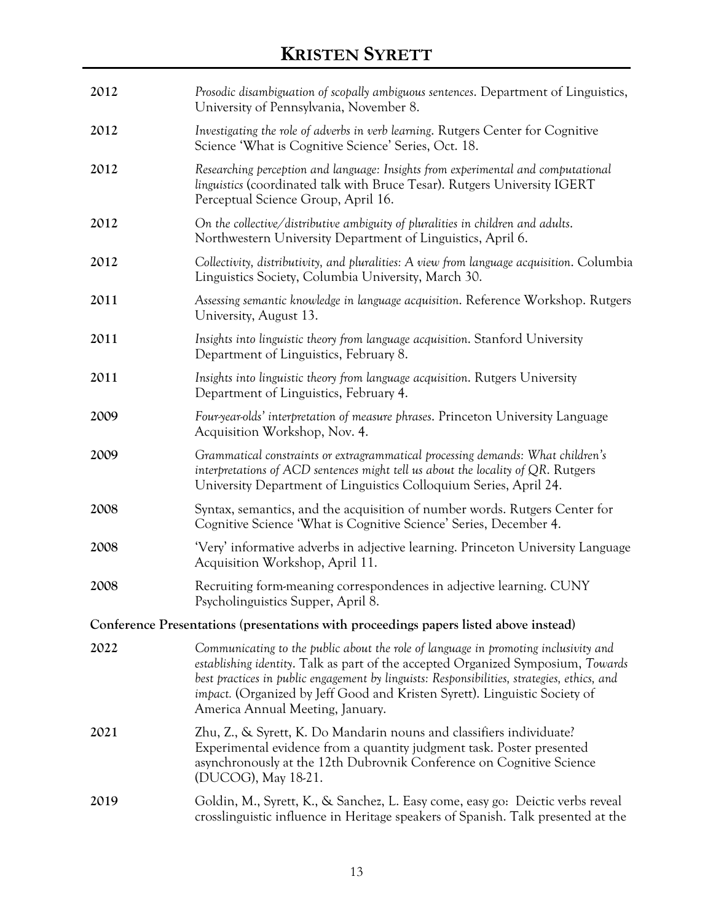| 2012 | Prosodic disambiguation of scopally ambiguous sentences. Department of Linguistics,<br>University of Pennsylvania, November 8.                                                                                                                                                                                                                                                                  |  |
|------|-------------------------------------------------------------------------------------------------------------------------------------------------------------------------------------------------------------------------------------------------------------------------------------------------------------------------------------------------------------------------------------------------|--|
| 2012 | Investigating the role of adverbs in verb learning. Rutgers Center for Cognitive<br>Science 'What is Cognitive Science' Series, Oct. 18.                                                                                                                                                                                                                                                        |  |
| 2012 | Researching perception and language: Insights from experimental and computational<br>linguistics (coordinated talk with Bruce Tesar). Rutgers University IGERT<br>Perceptual Science Group, April 16.                                                                                                                                                                                           |  |
| 2012 | On the collective/distributive ambiguity of pluralities in children and adults.<br>Northwestern University Department of Linguistics, April 6.                                                                                                                                                                                                                                                  |  |
| 2012 | Collectivity, distributivity, and pluralities: A view from language acquisition. Columbia<br>Linguistics Society, Columbia University, March 30.                                                                                                                                                                                                                                                |  |
| 2011 | Assessing semantic knowledge in language acquisition. Reference Workshop. Rutgers<br>University, August 13.                                                                                                                                                                                                                                                                                     |  |
| 2011 | Insights into linguistic theory from language acquisition. Stanford University<br>Department of Linguistics, February 8.                                                                                                                                                                                                                                                                        |  |
| 2011 | Insights into linguistic theory from language acquisition. Rutgers University<br>Department of Linguistics, February 4.                                                                                                                                                                                                                                                                         |  |
| 2009 | Four year-olds' interpretation of measure phrases. Princeton University Language<br>Acquisition Workshop, Nov. 4.                                                                                                                                                                                                                                                                               |  |
| 2009 | Grammatical constraints or extragrammatical processing demands: What children's<br>interpretations of ACD sentences might tell us about the locality of $QR$ . Rutgers<br>University Department of Linguistics Colloquium Series, April 24.                                                                                                                                                     |  |
| 2008 | Syntax, semantics, and the acquisition of number words. Rutgers Center for<br>Cognitive Science 'What is Cognitive Science' Series, December 4.                                                                                                                                                                                                                                                 |  |
| 2008 | 'Very' informative adverbs in adjective learning. Princeton University Language<br>Acquisition Workshop, April 11.                                                                                                                                                                                                                                                                              |  |
| 2008 | Recruiting form-meaning correspondences in adjective learning. CUNY<br>Psycholinguistics Supper, April 8.                                                                                                                                                                                                                                                                                       |  |
|      | Conference Presentations (presentations with proceedings papers listed above instead)                                                                                                                                                                                                                                                                                                           |  |
| 2022 | Communicating to the public about the role of language in promoting inclusivity and<br>establishing identity. Talk as part of the accepted Organized Symposium, Towards<br>best practices in public engagement by linguists: Responsibilities, strategies, ethics, and<br><i>impact.</i> (Organized by Jeff Good and Kristen Syrett). Linguistic Society of<br>America Annual Meeting, January. |  |
| 2021 | Zhu, Z., & Syrett, K. Do Mandarin nouns and classifiers individuate?<br>Experimental evidence from a quantity judgment task. Poster presented<br>asynchronously at the 12th Dubrovnik Conference on Cognitive Science<br>(DUCOG), May 18-21.                                                                                                                                                    |  |
| 2019 | Goldin, M., Syrett, K., & Sanchez, L. Easy come, easy go: Deictic verbs reveal<br>crosslinguistic influence in Heritage speakers of Spanish. Talk presented at the                                                                                                                                                                                                                              |  |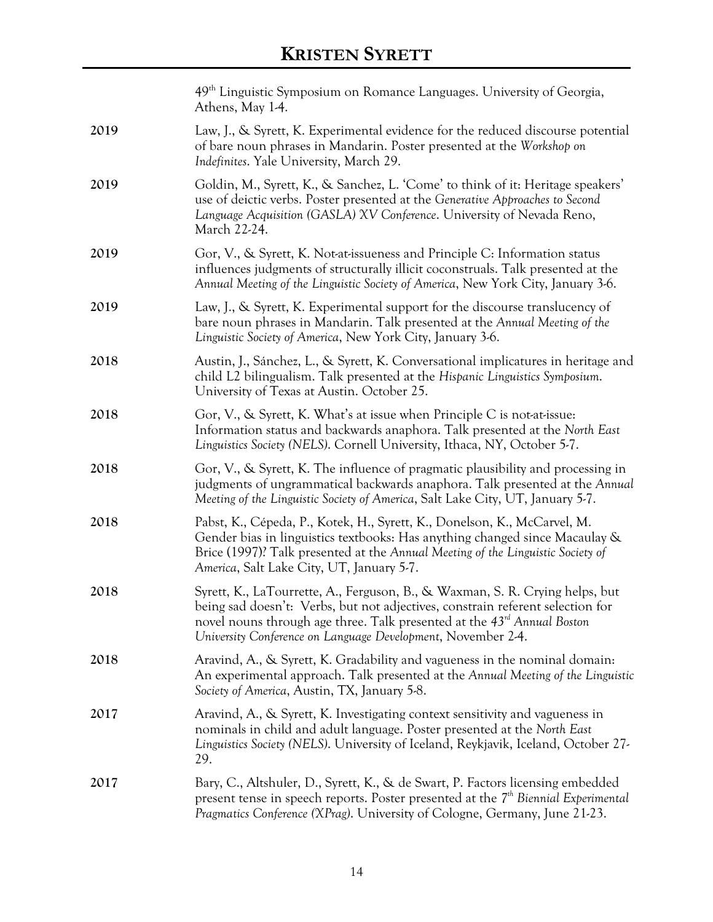|      | 49 <sup>th</sup> Linguistic Symposium on Romance Languages. University of Georgia,<br>Athens, May 1-4.                                                                                                                                                                                                                |  |
|------|-----------------------------------------------------------------------------------------------------------------------------------------------------------------------------------------------------------------------------------------------------------------------------------------------------------------------|--|
| 2019 | Law, J., & Syrett, K. Experimental evidence for the reduced discourse potential<br>of bare noun phrases in Mandarin. Poster presented at the Workshop on<br>Indefinites. Yale University, March 29.                                                                                                                   |  |
| 2019 | Goldin, M., Syrett, K., & Sanchez, L. 'Come' to think of it: Heritage speakers'<br>use of deictic verbs. Poster presented at the Generative Approaches to Second<br>Language Acquisition (GASLA) XV Conference. University of Nevada Reno,<br>March 22-24.                                                            |  |
| 2019 | Gor, V., & Syrett, K. Not-at-issueness and Principle C: Information status<br>influences judgments of structurally illicit coconstruals. Talk presented at the<br>Annual Meeting of the Linguistic Society of America, New York City, January 3-6.                                                                    |  |
| 2019 | Law, J., & Syrett, K. Experimental support for the discourse translucency of<br>bare noun phrases in Mandarin. Talk presented at the Annual Meeting of the<br>Linguistic Society of America, New York City, January 3-6.                                                                                              |  |
| 2018 | Austin, J., Sánchez, L., & Syrett, K. Conversational implicatures in heritage and<br>child L2 bilingualism. Talk presented at the Hispanic Linguistics Symposium.<br>University of Texas at Austin. October 25.                                                                                                       |  |
| 2018 | Gor, V., & Syrett, K. What's at issue when Principle C is not-at-issue:<br>Information status and backwards anaphora. Talk presented at the North East<br>Linguistics Society (NELS). Cornell University, Ithaca, NY, October 5-7.                                                                                    |  |
| 2018 | Gor, V., & Syrett, K. The influence of pragmatic plausibility and processing in<br>judgments of ungrammatical backwards anaphora. Talk presented at the Annual<br>Meeting of the Linguistic Society of America, Salt Lake City, UT, January 5-7.                                                                      |  |
| 2018 | Pabst, K., Cépeda, P., Kotek, H., Syrett, K., Donelson, K., McCarvel, M.<br>Gender bias in linguistics textbooks: Has anything changed since Macaulay &<br>Brice (1997)? Talk presented at the Annual Meeting of the Linguistic Society of<br>America, Salt Lake City, UT, January 5-7.                               |  |
| 2018 | Syrett, K., LaTourrette, A., Ferguson, B., & Waxman, S. R. Crying helps, but<br>being sad doesn't: Verbs, but not adjectives, constrain referent selection for<br>novel nouns through age three. Talk presented at the 43 <sup>rd</sup> Annual Boston<br>University Conference on Language Development, November 2-4. |  |
| 2018 | Aravind, A., & Syrett, K. Gradability and vagueness in the nominal domain:<br>An experimental approach. Talk presented at the Annual Meeting of the Linguistic<br>Society of America, Austin, TX, January 5-8.                                                                                                        |  |
| 2017 | Aravind, A., & Syrett, K. Investigating context sensitivity and vagueness in<br>nominals in child and adult language. Poster presented at the North East<br>Linguistics Society (NELS). University of Iceland, Reykjavik, Iceland, October 27-<br>29.                                                                 |  |
| 2017 | Bary, C., Altshuler, D., Syrett, K., & de Swart, P. Factors licensing embedded<br>present tense in speech reports. Poster presented at the $7th$ Biennial Experimental<br>Pragmatics Conference (XPrag). University of Cologne, Germany, June 21-23.                                                                  |  |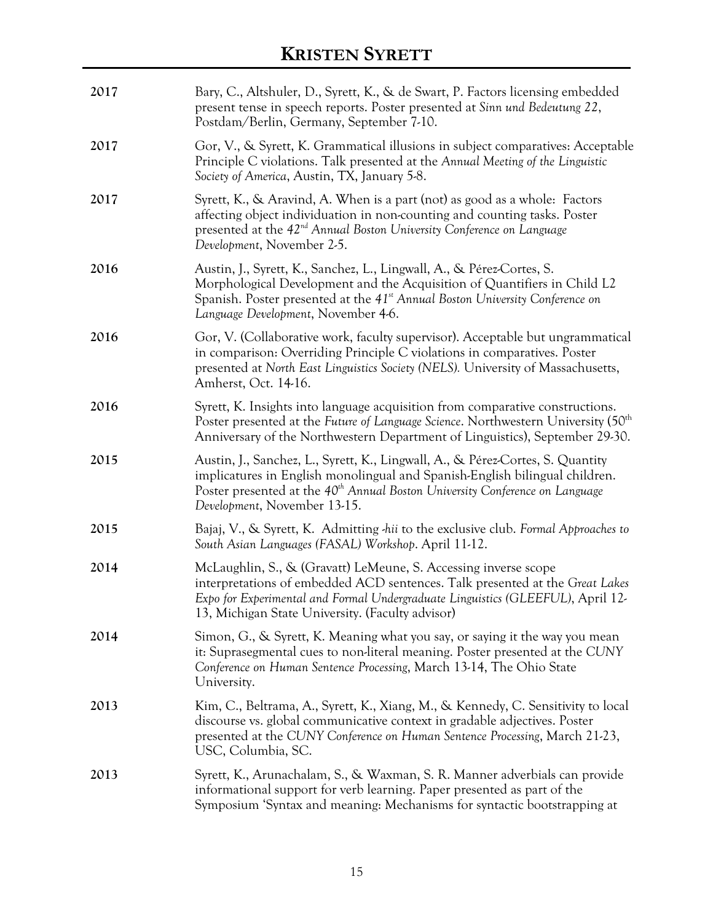| 2017 | Bary, C., Altshuler, D., Syrett, K., & de Swart, P. Factors licensing embedded<br>present tense in speech reports. Poster presented at Sinn und Bedeutung 22,<br>Postdam/Berlin, Germany, September 7-10.                                                                                 |
|------|-------------------------------------------------------------------------------------------------------------------------------------------------------------------------------------------------------------------------------------------------------------------------------------------|
| 2017 | Gor, V., & Syrett, K. Grammatical illusions in subject comparatives: Acceptable<br>Principle C violations. Talk presented at the Annual Meeting of the Linguistic<br>Society of America, Austin, TX, January 5-8.                                                                         |
| 2017 | Syrett, K., & Aravind, A. When is a part (not) as good as a whole: Factors<br>affecting object individuation in non-counting and counting tasks. Poster<br>presented at the 42 <sup>nd</sup> Annual Boston University Conference on Language<br>Development, November 2-5.                |
| 2016 | Austin, J., Syrett, K., Sanchez, L., Lingwall, A., & Pérez-Cortes, S.<br>Morphological Development and the Acquisition of Quantifiers in Child L2<br>Spanish. Poster presented at the 41 <sup>st</sup> Annual Boston University Conference on<br>Language Development, November 4-6.      |
| 2016 | Gor, V. (Collaborative work, faculty supervisor). Acceptable but ungrammatical<br>in comparison: Overriding Principle C violations in comparatives. Poster<br>presented at North East Linguistics Society (NELS). University of Massachusetts,<br>Amherst, Oct. 14-16.                    |
| 2016 | Syrett, K. Insights into language acquisition from comparative constructions.<br>Poster presented at the Future of Language Science. Northwestern University (50 <sup>th</sup> )<br>Anniversary of the Northwestern Department of Linguistics), September 29-30.                          |
| 2015 | Austin, J., Sanchez, L., Syrett, K., Lingwall, A., & Pérez-Cortes, S. Quantity<br>implicatures in English monolingual and Spanish-English bilingual children.<br>Poster presented at the 40 <sup>th</sup> Annual Boston University Conference on Language<br>Development, November 13-15. |
| 2015 | Bajaj, V., & Syrett, K. Admitting hii to the exclusive club. Formal Approaches to<br>South Asian Languages (FASAL) Workshop. April 11-12.                                                                                                                                                 |
| 2014 | McLaughlin, S., & (Gravatt) LeMeune, S. Accessing inverse scope<br>interpretations of embedded ACD sentences. Talk presented at the Great Lakes<br>Expo for Experimental and Formal Undergraduate Linguistics (GLEEFUL), April 12-<br>13, Michigan State University. (Faculty advisor)    |
| 2014 | Simon, G., & Syrett, K. Meaning what you say, or saying it the way you mean<br>it: Suprasegmental cues to non-literal meaning. Poster presented at the CUNY<br>Conference on Human Sentence Processing, March 13-14, The Ohio State<br>University.                                        |
| 2013 | Kim, C., Beltrama, A., Syrett, K., Xiang, M., & Kennedy, C. Sensitivity to local<br>discourse vs. global communicative context in gradable adjectives. Poster<br>presented at the CUNY Conference on Human Sentence Processing, March 21-23,<br>USC, Columbia, SC.                        |
| 2013 | Syrett, K., Arunachalam, S., & Waxman, S. R. Manner adverbials can provide<br>informational support for verb learning. Paper presented as part of the<br>Symposium 'Syntax and meaning: Mechanisms for syntactic bootstrapping at                                                         |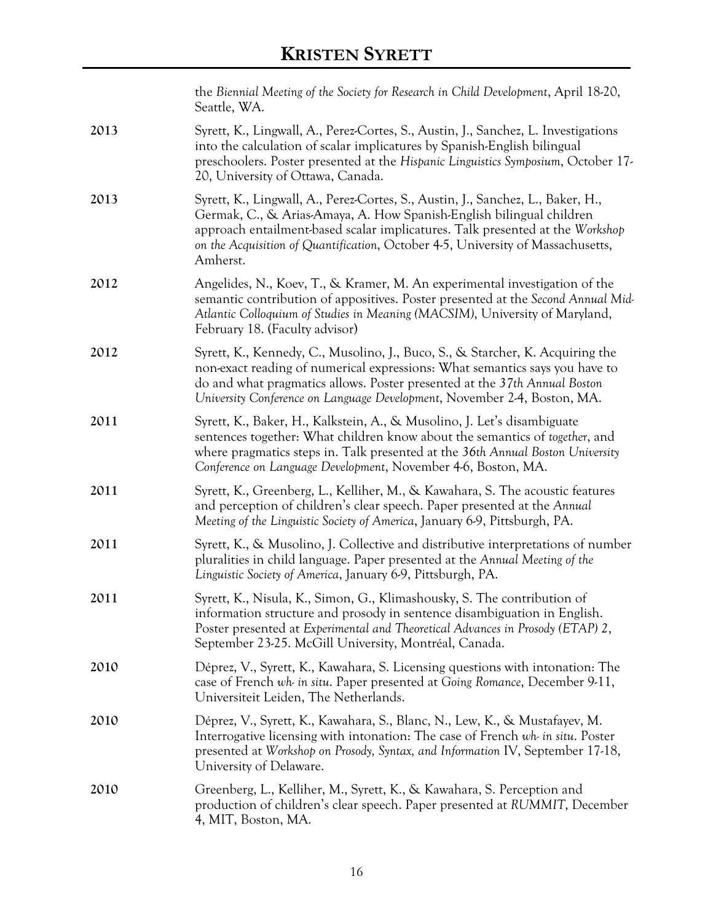|      | the Biennial Meeting of the Society for Research in Child Development, April 18-20,<br>Seattle, WA.                                                                                                                                                                                                                                     |
|------|-----------------------------------------------------------------------------------------------------------------------------------------------------------------------------------------------------------------------------------------------------------------------------------------------------------------------------------------|
| 2013 | Syrett, K., Lingwall, A., Perez-Cortes, S., Austin, J., Sanchez, L. Investigations<br>into the calculation of scalar implicatures by Spanish-English bilingual<br>preschoolers. Poster presented at the Hispanic Linguistics Symposium, October 17-<br>20, University of Ottawa, Canada.                                                |
| 2013 | Syrett, K., Lingwall, A., Perez-Cortes, S., Austin, J., Sanchez, L., Baker, H.,<br>Germak, C., & Arias-Amaya, A. How Spanish-English bilingual children<br>approach entailment-based scalar implicatures. Talk presented at the Workshop<br>on the Acquisition of Quantification, October 4-5, University of Massachusetts,<br>Amherst. |
| 2012 | Angelides, N., Koev, T., & Kramer, M. An experimental investigation of the<br>semantic contribution of appositives. Poster presented at the Second Annual Mid-<br>Atlantic Colloquium of Studies in Meaning (MACSIM), University of Maryland,<br>February 18. (Faculty advisor)                                                         |
| 2012 | Syrett, K., Kennedy, C., Musolino, J., Buco, S., & Starcher, K. Acquiring the<br>non-exact reading of numerical expressions: What semantics says you have to<br>do and what pragmatics allows. Poster presented at the 37th Annual Boston<br>University Conference on Language Development, November 2-4, Boston, MA.                   |
| 2011 | Syrett, K., Baker, H., Kalkstein, A., & Musolino, J. Let's disambiguate<br>sentences together: What children know about the semantics of together, and<br>where pragmatics steps in. Talk presented at the 36th Annual Boston University<br>Conference on Language Development, November 4-6, Boston, MA.                               |
| 2011 | Syrett, K., Greenberg, L., Kelliher, M., & Kawahara, S. The acoustic features<br>and perception of children's clear speech. Paper presented at the Annual<br>Meeting of the Linguistic Society of America, January 6-9, Pittsburgh, PA.                                                                                                 |
| 2011 | Syrett, K., & Musolino, J. Collective and distributive interpretations of number<br>pluralities in child language. Paper presented at the Annual Meeting of the<br>Linguistic Society of America, January 6-9, Pittsburgh, PA.                                                                                                          |
| 2011 | Syrett, K., Nisula, K., Simon, G., Klimashousky, S. The contribution of<br>information structure and prosody in sentence disambiguation in English.<br>Poster presented at Experimental and Theoretical Advances in Prosody (ETAP) 2,<br>September 23-25. McGill University, Montréal, Canada.                                          |
| 2010 | Déprez, V., Syrett, K., Kawahara, S. Licensing questions with intonation: The<br>case of French wh in situ. Paper presented at Going Romance, December 9-11,<br>Universiteit Leiden, The Netherlands.                                                                                                                                   |
| 2010 | Déprez, V., Syrett, K., Kawahara, S., Blanc, N., Lew, K., & Mustafayev, M.<br>Interrogative licensing with intonation: The case of French wh in situ. Poster<br>presented at Workshop on Prosody, Syntax, and Information IV, September 17-18,<br>University of Delaware.                                                               |
| 2010 | Greenberg, L., Kelliher, M., Syrett, K., & Kawahara, S. Perception and<br>production of children's clear speech. Paper presented at RUMMIT, December<br>4, MIT, Boston, MA.                                                                                                                                                             |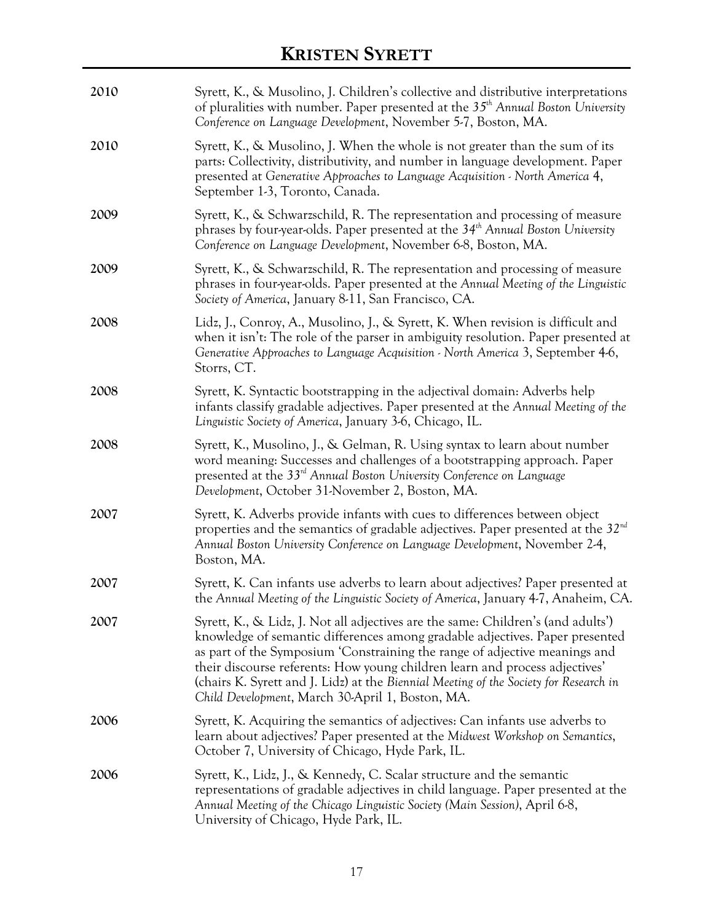| 2010 | Syrett, K., & Musolino, J. Children's collective and distributive interpretations<br>of pluralities with number. Paper presented at the $35th$ Annual Boston University<br>Conference on Language Development, November 5-7, Boston, MA.                                                                                                                                                                                                                                   |  |
|------|----------------------------------------------------------------------------------------------------------------------------------------------------------------------------------------------------------------------------------------------------------------------------------------------------------------------------------------------------------------------------------------------------------------------------------------------------------------------------|--|
| 2010 | Syrett, K., & Musolino, J. When the whole is not greater than the sum of its<br>parts: Collectivity, distributivity, and number in language development. Paper<br>presented at Generative Approaches to Language Acquisition - North America 4,<br>September 1-3, Toronto, Canada.                                                                                                                                                                                         |  |
| 2009 | Syrett, K., & Schwarzschild, R. The representation and processing of measure<br>phrases by four-year-olds. Paper presented at the 34 <sup>th</sup> Annual Boston University<br>Conference on Language Development, November 6-8, Boston, MA.                                                                                                                                                                                                                               |  |
| 2009 | Syrett, K., & Schwarzschild, R. The representation and processing of measure<br>phrases in four-year-olds. Paper presented at the Annual Meeting of the Linguistic<br>Society of America, January 8-11, San Francisco, CA.                                                                                                                                                                                                                                                 |  |
| 2008 | Lidz, J., Conroy, A., Musolino, J., & Syrett, K. When revision is difficult and<br>when it isn't: The role of the parser in ambiguity resolution. Paper presented at<br>Generative Approaches to Language Acquisition - North America 3, September 4-6,<br>Storrs, CT.                                                                                                                                                                                                     |  |
| 2008 | Syrett, K. Syntactic bootstrapping in the adjectival domain: Adverbs help<br>infants classify gradable adjectives. Paper presented at the Annual Meeting of the<br>Linguistic Society of America, January 3-6, Chicago, IL.                                                                                                                                                                                                                                                |  |
| 2008 | Syrett, K., Musolino, J., & Gelman, R. Using syntax to learn about number<br>word meaning: Successes and challenges of a bootstrapping approach. Paper<br>presented at the 33rd Annual Boston University Conference on Language<br>Development, October 31-November 2, Boston, MA.                                                                                                                                                                                         |  |
| 2007 | Syrett, K. Adverbs provide infants with cues to differences between object<br>properties and the semantics of gradable adjectives. Paper presented at the $32nd$<br>Annual Boston University Conference on Language Development, November 2-4,<br>Boston, MA.                                                                                                                                                                                                              |  |
| 2007 | Syrett, K. Can infants use adverbs to learn about adjectives? Paper presented at<br>the Annual Meeting of the Linguistic Society of America, January 4-7, Anaheim, CA.                                                                                                                                                                                                                                                                                                     |  |
| 2007 | Syrett, K., & Lidz, J. Not all adjectives are the same: Children's (and adults')<br>knowledge of semantic differences among gradable adjectives. Paper presented<br>as part of the Symposium 'Constraining the range of adjective meanings and<br>their discourse referents: How young children learn and process adjectives'<br>(chairs K. Syrett and J. Lidz) at the Biennial Meeting of the Society for Research in<br>Child Development, March 30-April 1, Boston, MA. |  |
| 2006 | Syrett, K. Acquiring the semantics of adjectives: Can infants use adverbs to<br>learn about adjectives? Paper presented at the Midwest Workshop on Semantics,<br>October 7, University of Chicago, Hyde Park, IL.                                                                                                                                                                                                                                                          |  |
| 2006 | Syrett, K., Lidz, J., & Kennedy, C. Scalar structure and the semantic<br>representations of gradable adjectives in child language. Paper presented at the<br>Annual Meeting of the Chicago Linguistic Society (Main Session), April 6-8,<br>University of Chicago, Hyde Park, IL.                                                                                                                                                                                          |  |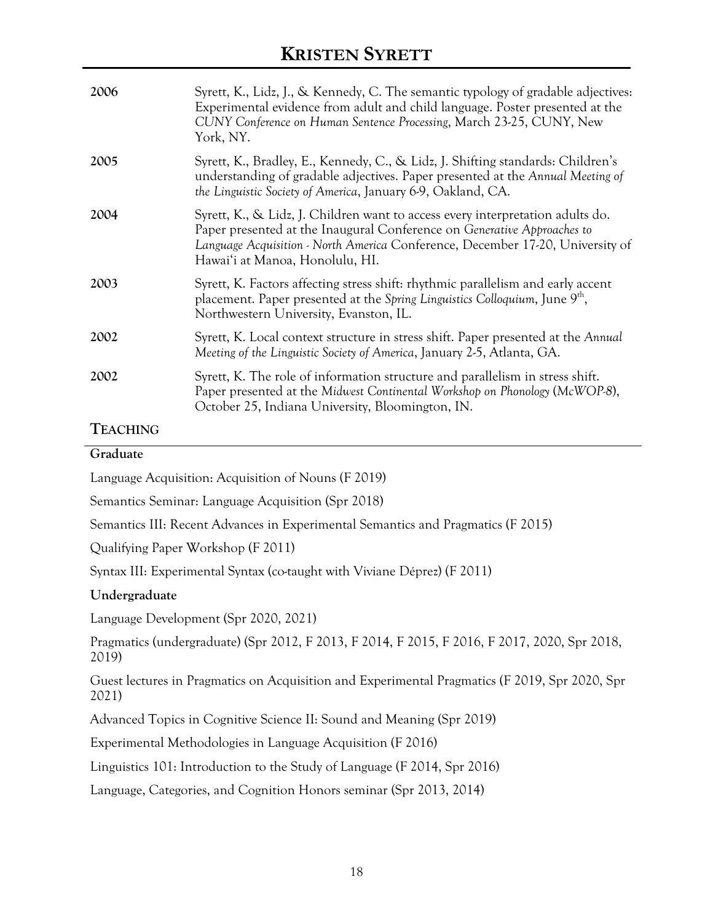| 2006 | Syrett, K., Lidz, J., & Kennedy, C. The semantic typology of gradable adjectives:<br>Experimental evidence from adult and child language. Poster presented at the<br>CUNY Conference on Human Sentence Processing, March 23-25, CUNY, New<br>York, NY.                         |
|------|--------------------------------------------------------------------------------------------------------------------------------------------------------------------------------------------------------------------------------------------------------------------------------|
| 2005 | Syrett, K., Bradley, E., Kennedy, C., & Lidz, J. Shifting standards: Children's<br>understanding of gradable adjectives. Paper presented at the Annual Meeting of<br>the Linguistic Society of America, January 6-9, Oakland, CA.                                              |
| 2004 | Syrett, K., & Lidz, J. Children want to access every interpretation adults do.<br>Paper presented at the Inaugural Conference on Generative Approaches to<br>Language Acquisition - North America Conference, December 17-20, University of<br>Hawai'i at Manoa, Honolulu, HI. |
| 2003 | Syrett, K. Factors affecting stress shift: rhythmic parallelism and early accent<br>placement. Paper presented at the Spring Linguistics Colloquium, June 9 <sup>th</sup> ,<br>Northwestern University, Evanston, IL.                                                          |
| 2002 | Syrett, K. Local context structure in stress shift. Paper presented at the Annual<br>Meeting of the Linguistic Society of America, January 2-5, Atlanta, GA.                                                                                                                   |
| 2002 | Syrett, K. The role of information structure and parallelism in stress shift.<br>Paper presented at the Midwest Continental Workshop on Phonology (McWOP-8),<br>October 25, Indiana University, Bloomington, IN.                                                               |
|      |                                                                                                                                                                                                                                                                                |

### **TEACHING**

| Graduate |                                                     |  |
|----------|-----------------------------------------------------|--|
|          | Language Acquisition: Acquisition of Nouns (F 2019) |  |

Semantics Seminar: Language Acquisition (Spr 2018)

Semantics III: Recent Advances in Experimental Semantics and Pragmatics (F 2015)

Qualifying Paper Workshop (F 2011)

Syntax III: Experimental Syntax (co-taught with Viviane Déprez) (F 2011)

### **Undergraduate**

Language Development (Spr 2020, 2021)

Pragmatics (undergraduate) (Spr 2012, F 2013, F 2014, F 2015, F 2016, F 2017, 2020, Spr 2018, 2019)

Guest lectures in Pragmatics on Acquisition and Experimental Pragmatics (F 2019, Spr 2020, Spr 2021)

Advanced Topics in Cognitive Science II: Sound and Meaning (Spr 2019)

Experimental Methodologies in Language Acquisition (F 2016)

Linguistics 101: Introduction to the Study of Language (F 2014, Spr 2016)

Language, Categories, and Cognition Honors seminar (Spr 2013, 2014)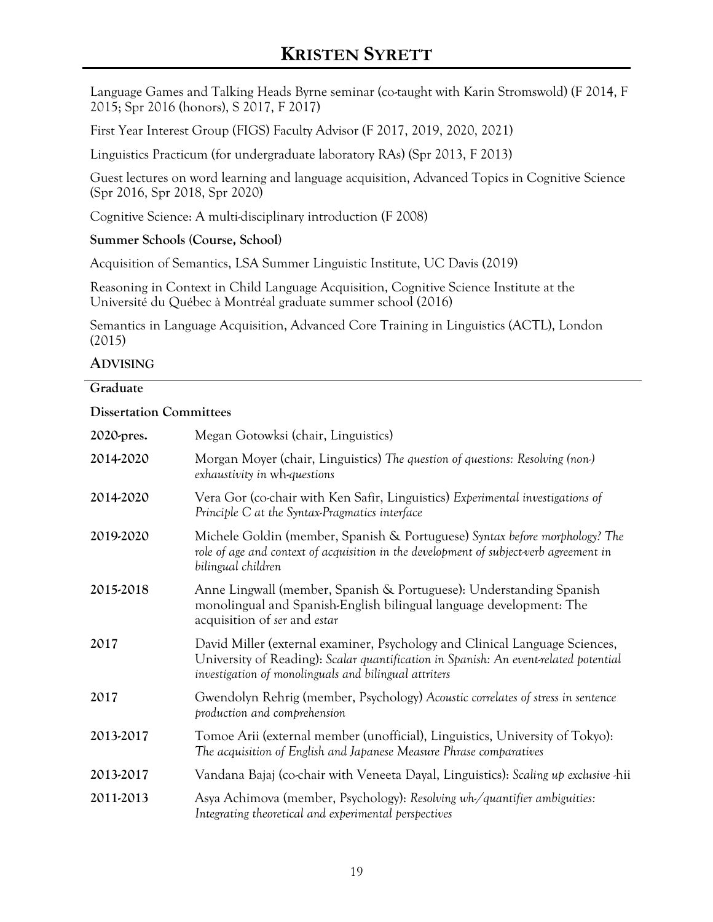Language Games and Talking Heads Byrne seminar (co-taught with Karin Stromswold) (F 2014, F 2015; Spr 2016 (honors), S 2017, F 2017)

First Year Interest Group (FIGS) Faculty Advisor (F 2017, 2019, 2020, 2021)

Linguistics Practicum (for undergraduate laboratory RAs) (Spr 2013, F 2013)

Guest lectures on word learning and language acquisition, Advanced Topics in Cognitive Science (Spr 2016, Spr 2018, Spr 2020)

Cognitive Science: A multi-disciplinary introduction (F 2008)

### **Summer Schools (Course, School)**

Acquisition of Semantics, LSA Summer Linguistic Institute, UC Davis (2019)

Reasoning in Context in Child Language Acquisition, Cognitive Science Institute at the Université du Québec à Montréal graduate summer school (2016)

Semantics in Language Acquisition, Advanced Core Training in Linguistics (ACTL), London (2015)

### **ADVISING**

### **Graduate**

### **Dissertation Committees**

| 2020-pres. | Megan Gotowksi (chair, Linguistics)                                                                                                                                                                                          |
|------------|------------------------------------------------------------------------------------------------------------------------------------------------------------------------------------------------------------------------------|
| 2014-2020  | Morgan Moyer (chair, Linguistics) The question of questions: Resolving (non-)<br>exhaustivity in wh-questions                                                                                                                |
| 2014-2020  | Vera Gor (co-chair with Ken Safir, Linguistics) Experimental investigations of<br>Principle C at the Syntax-Pragmatics interface                                                                                             |
| 2019-2020  | Michele Goldin (member, Spanish & Portuguese) Syntax before morphology? The<br>role of age and context of acquisition in the development of subject-verb agreement in<br>bilingual children                                  |
| 2015-2018  | Anne Lingwall (member, Spanish & Portuguese): Understanding Spanish<br>monolingual and Spanish-English bilingual language development: The<br>acquisition of ser and estar                                                   |
| 2017       | David Miller (external examiner, Psychology and Clinical Language Sciences,<br>University of Reading): Scalar quantification in Spanish: An event related potential<br>investigation of monolinguals and bilingual attriters |
| 2017       | Gwendolyn Rehrig (member, Psychology) Acoustic correlates of stress in sentence<br>production and comprehension                                                                                                              |
| 2013-2017  | Tomoe Arii (external member (unofficial), Linguistics, University of Tokyo):<br>The acquisition of English and Japanese Measure Phrase comparatives                                                                          |
| 2013-2017  | Vandana Bajaj (co-chair with Veneeta Dayal, Linguistics): Scaling up exclusive -hii                                                                                                                                          |
| 2011-2013  | Asya Achimova (member, Psychology): Resolving wh/quantifier ambiguities:<br>Integrating theoretical and experimental perspectives                                                                                            |
|            |                                                                                                                                                                                                                              |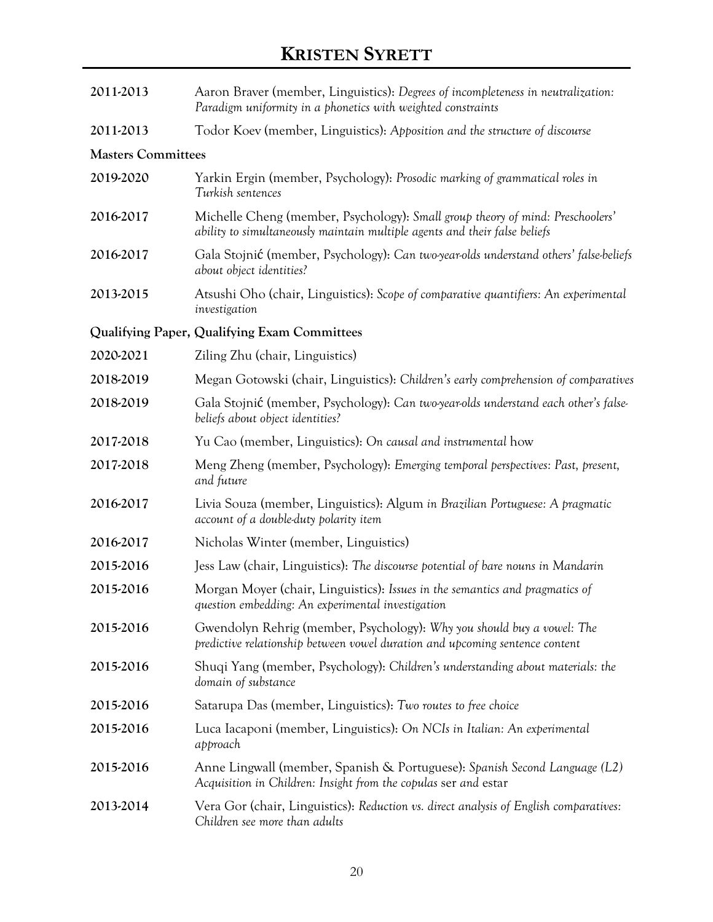| 2011-2013                 | Aaron Braver (member, Linguistics): Degrees of incompleteness in neutralization:<br>Paradigm uniformity in a phonetics with weighted constraints             |
|---------------------------|--------------------------------------------------------------------------------------------------------------------------------------------------------------|
| 2011-2013                 | Todor Koev (member, Linguistics): Apposition and the structure of discourse                                                                                  |
| <b>Masters Committees</b> |                                                                                                                                                              |
| 2019-2020                 | Yarkin Ergin (member, Psychology): Prosodic marking of grammatical roles in<br>Turkish sentences                                                             |
| 2016-2017                 | Michelle Cheng (member, Psychology): Small group theory of mind: Preschoolers'<br>ability to simultaneously maintain multiple agents and their false beliefs |
| 2016-2017                 | Gala Stojnić (member, Psychology): Can two year olds understand others' false beliefs<br>about object identities?                                            |
| 2013-2015                 | Atsushi Oho (chair, Linguistics): Scope of comparative quantifiers: An experimental<br>investigation                                                         |
|                           | Qualifying Paper, Qualifying Exam Committees                                                                                                                 |
| 2020-2021                 | Ziling Zhu (chair, Linguistics)                                                                                                                              |
| 2018-2019                 | Megan Gotowski (chair, Linguistics): Children's early comprehension of comparatives                                                                          |
| 2018-2019                 | Gala Stojnić (member, Psychology): Can two year olds understand each other's false-<br>beliefs about object identities?                                      |
| 2017-2018                 | Yu Cao (member, Linguistics): On causal and instrumental how                                                                                                 |
| 2017-2018                 | Meng Zheng (member, Psychology): Emerging temporal perspectives: Past, present,<br>and future                                                                |
| 2016-2017                 | Livia Souza (member, Linguistics): Algum in Brazilian Portuguese: A pragmatic<br>account of a double-duty polarity item                                      |
| 2016-2017                 | Nicholas Winter (member, Linguistics)                                                                                                                        |
| 2015-2016                 | Jess Law (chair, Linguistics): The discourse potential of bare nouns in Mandarin                                                                             |
| 2015-2016                 | Morgan Moyer (chair, Linguistics): Issues in the semantics and pragmatics of<br>question embedding: An experimental investigation                            |
| 2015-2016                 | Gwendolyn Rehrig (member, Psychology): Why you should buy a vowel: The<br>predictive relationship between vowel duration and upcoming sentence content       |
| 2015-2016                 | Shuqi Yang (member, Psychology): Children's understanding about materials: the<br>domain of substance                                                        |
| 2015-2016                 | Satarupa Das (member, Linguistics): Two routes to free choice                                                                                                |
| 2015-2016                 | Luca Iacaponi (member, Linguistics): On NCIs in Italian: An experimental<br>approach                                                                         |
| 2015-2016                 | Anne Lingwall (member, Spanish & Portuguese): Spanish Second Language (L2)<br>Acquisition in Children: Insight from the copulas ser and estar                |
| 2013-2014                 | Vera Gor (chair, Linguistics): Reduction vs. direct analysis of English comparatives:<br>Children see more than adults                                       |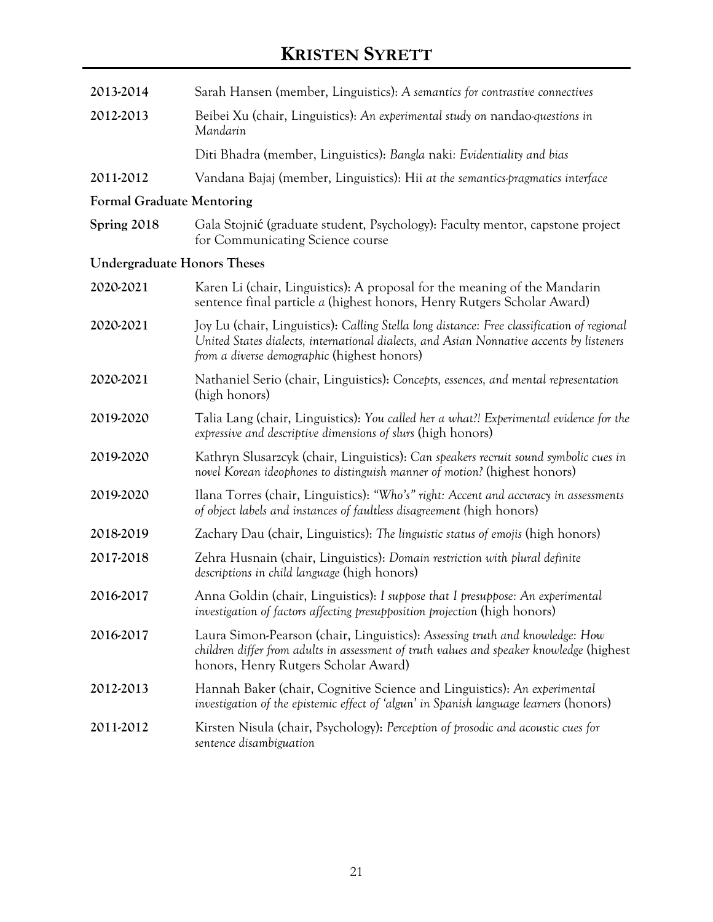| 2013-2014                          | Sarah Hansen (member, Linguistics): A semantics for contrastive connectives                                                                                                                                                           |
|------------------------------------|---------------------------------------------------------------------------------------------------------------------------------------------------------------------------------------------------------------------------------------|
| 2012-2013                          | Beibei Xu (chair, Linguistics): An experimental study on nandao-questions in<br>Mandarin                                                                                                                                              |
|                                    | Diti Bhadra (member, Linguistics): Bangla naki: Evidentiality and bias                                                                                                                                                                |
| 2011-2012                          | Vandana Bajaj (member, Linguistics): Hii at the semantics-pragmatics interface                                                                                                                                                        |
| <b>Formal Graduate Mentoring</b>   |                                                                                                                                                                                                                                       |
| Spring 2018                        | Gala Stojnić (graduate student, Psychology): Faculty mentor, capstone project<br>for Communicating Science course                                                                                                                     |
| <b>Undergraduate Honors Theses</b> |                                                                                                                                                                                                                                       |
| 2020-2021                          | Karen Li (chair, Linguistics): A proposal for the meaning of the Mandarin<br>sentence final particle a (highest honors, Henry Rutgers Scholar Award)                                                                                  |
| 2020-2021                          | Joy Lu (chair, Linguistics): Calling Stella long distance: Free classification of regional<br>United States dialects, international dialects, and Asian Nonnative accents by listeners<br>from a diverse demographic (highest honors) |
| 2020-2021                          | Nathaniel Serio (chair, Linguistics): Concepts, essences, and mental representation<br>(high honors)                                                                                                                                  |
| 2019-2020                          | Talia Lang (chair, Linguistics): You called her a what?! Experimental evidence for the<br>expressive and descriptive dimensions of slurs (high honors)                                                                                |
| 2019-2020                          | Kathryn Slusarzcyk (chair, Linguistics): Can speakers recruit sound symbolic cues in<br>novel Korean ideophones to distinguish manner of motion? (highest honors)                                                                     |
| 2019-2020                          | Ilana Torres (chair, Linguistics): "Who's" right: Accent and accuracy in assessments<br>of object labels and instances of faultless disagreement (high honors)                                                                        |
| 2018-2019                          | Zachary Dau (chair, Linguistics): The linguistic status of emojis (high honors)                                                                                                                                                       |
| 2017-2018                          | Zehra Husnain (chair, Linguistics): Domain restriction with plural definite<br>descriptions in child language (high honors)                                                                                                           |
| 2016-2017                          | Anna Goldin (chair, Linguistics): I suppose that I presuppose: An experimental<br>investigation of factors affecting presupposition projection (high honors)                                                                          |
| 2016-2017                          | Laura Simon-Pearson (chair, Linguistics): Assessing truth and knowledge: How<br>children differ from adults in assessment of truth values and speaker knowledge (highest<br>honors, Henry Rutgers Scholar Award)                      |
| 2012-2013                          | Hannah Baker (chair, Cognitive Science and Linguistics): An experimental<br>investigation of the epistemic effect of 'algun' in Spanish language learners (honors)                                                                    |
| 2011-2012                          | Kirsten Nisula (chair, Psychology): Perception of prosodic and acoustic cues for<br>sentence disambiguation                                                                                                                           |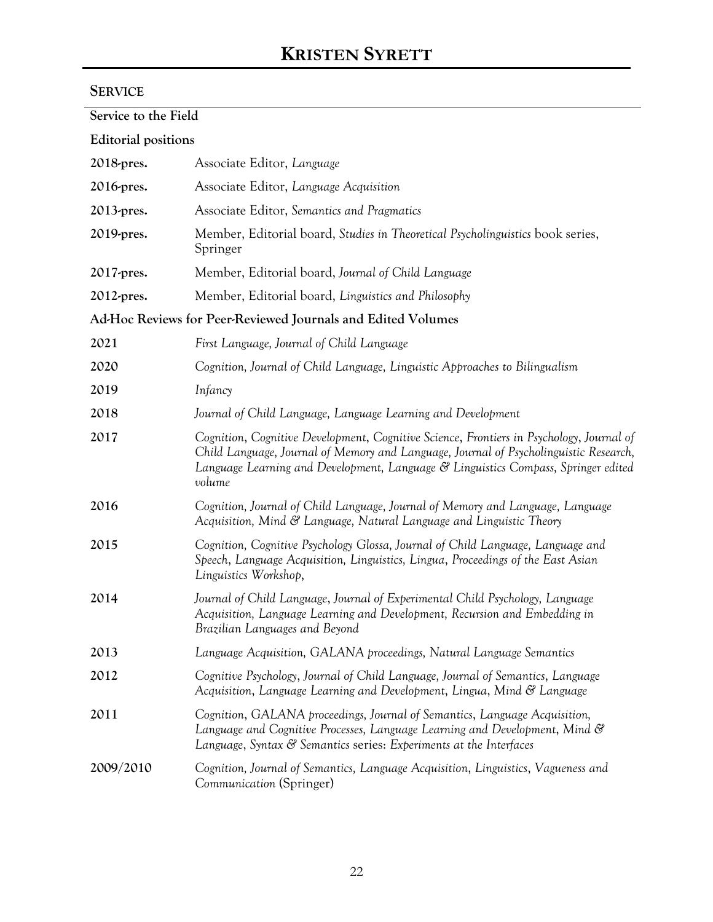## **SERVICE**

| Service to the Field       |                                                                                                                                                                                                                                                                                   |
|----------------------------|-----------------------------------------------------------------------------------------------------------------------------------------------------------------------------------------------------------------------------------------------------------------------------------|
| <b>Editorial positions</b> |                                                                                                                                                                                                                                                                                   |
| 2018-pres.                 | Associate Editor, Language                                                                                                                                                                                                                                                        |
| 2016-pres.                 | Associate Editor, Language Acquisition                                                                                                                                                                                                                                            |
| 2013-pres.                 | Associate Editor, Semantics and Pragmatics                                                                                                                                                                                                                                        |
| 2019-pres.                 | Member, Editorial board, Studies in Theoretical Psycholinguistics book series,<br>Springer                                                                                                                                                                                        |
| 2017-pres.                 | Member, Editorial board, Journal of Child Language                                                                                                                                                                                                                                |
| 2012-pres.                 | Member, Editorial board, Linguistics and Philosophy                                                                                                                                                                                                                               |
|                            | Ad-Hoc Reviews for Peer-Reviewed Journals and Edited Volumes                                                                                                                                                                                                                      |
| 2021                       | First Language, Journal of Child Language                                                                                                                                                                                                                                         |
| 2020                       | Cognition, Journal of Child Language, Linguistic Approaches to Bilingualism                                                                                                                                                                                                       |
| 2019                       | Infancy                                                                                                                                                                                                                                                                           |
| 2018                       | Journal of Child Language, Language Learning and Development                                                                                                                                                                                                                      |
| 2017                       | Cognition, Cognitive Development, Cognitive Science, Frontiers in Psychology, Journal of<br>Child Language, Journal of Memory and Language, Journal of Psycholinguistic Research,<br>Language Learning and Development, Language & Linguistics Compass, Springer edited<br>volume |
| 2016                       | Cognition, Journal of Child Language, Journal of Memory and Language, Language<br>Acquisition, Mind & Language, Natural Language and Linguistic Theory                                                                                                                            |
| 2015                       | Cognition, Cognitive Psychology Glossa, Journal of Child Language, Language and<br>Speech, Language Acquisition, Linguistics, Lingua, Proceedings of the East Asian<br>Linguistics Workshop,                                                                                      |
| 2014                       | Journal of Child Language, Journal of Experimental Child Psychology, Language<br>Acquisition, Language Learning and Development, Recursion and Embedding in<br>Brazilian Languages and Beyond                                                                                     |
| 2013                       | Language Acquisition, GALANA proceedings, Natural Language Semantics                                                                                                                                                                                                              |
| 2012                       | Cognitive Psychology, Journal of Child Language, Journal of Semantics, Language<br>Acquisition, Language Learning and Development, Lingua, Mind & Language                                                                                                                        |
| 2011                       | Cognition, GALANA proceedings, Journal of Semantics, Language Acquisition,<br>Language and Cognitive Processes, Language Learning and Development, Mind &<br>Language, Syntax & Semantics series: Experiments at the Interfaces                                                   |
| 2009/2010                  | Cognition, Journal of Semantics, Language Acquisition, Linguistics, Vagueness and<br>Communication (Springer)                                                                                                                                                                     |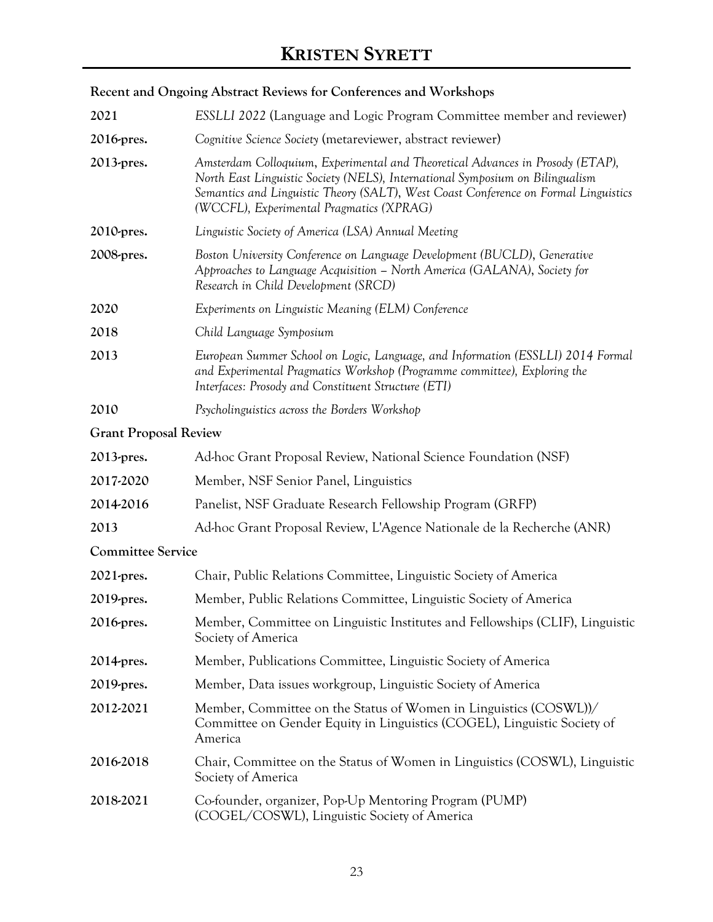## **Recent and Ongoing Abstract Reviews for Conferences and Workshops**

| 2021                         | <b>ESSLLI</b> 2022 (Language and Logic Program Committee member and reviewer)                                                                                                                                                                                                                      |
|------------------------------|----------------------------------------------------------------------------------------------------------------------------------------------------------------------------------------------------------------------------------------------------------------------------------------------------|
| 2016-pres.                   | Cognitive Science Society (metareviewer, abstract reviewer)                                                                                                                                                                                                                                        |
| 2013-pres.                   | Amsterdam Colloquium, Experimental and Theoretical Advances in Prosody (ETAP),<br>North East Linguistic Society (NELS), International Symposium on Bilingualism<br>Semantics and Linguistic Theory (SALT), West Coast Conference on Formal Linguistics<br>(WCCFL), Experimental Pragmatics (XPRAG) |
| 2010-pres.                   | Linguistic Society of America (LSA) Annual Meeting                                                                                                                                                                                                                                                 |
| 2008-pres.                   | Boston University Conference on Language Development (BUCLD), Generative<br>Approaches to Language Acquisition - North America (GALANA), Society for<br>Research in Child Development (SRCD)                                                                                                       |
| 2020                         | Experiments on Linguistic Meaning (ELM) Conference                                                                                                                                                                                                                                                 |
| 2018                         | Child Language Symposium                                                                                                                                                                                                                                                                           |
| 2013                         | European Summer School on Logic, Language, and Information (ESSLLI) 2014 Formal<br>and Experimental Pragmatics Workshop (Programme committee), Exploring the<br>Interfaces: Prosody and Constituent Structure (ETI)                                                                                |
| 2010                         | Psycholinguistics across the Borders Workshop                                                                                                                                                                                                                                                      |
| <b>Grant Proposal Review</b> |                                                                                                                                                                                                                                                                                                    |
| 2013-pres.                   | Ad-hoc Grant Proposal Review, National Science Foundation (NSF)                                                                                                                                                                                                                                    |
| 2017-2020                    | Member, NSF Senior Panel, Linguistics                                                                                                                                                                                                                                                              |
| 2014-2016                    | Panelist, NSF Graduate Research Fellowship Program (GRFP)                                                                                                                                                                                                                                          |
| 2013                         | Ad-hoc Grant Proposal Review, L'Agence Nationale de la Recherche (ANR)                                                                                                                                                                                                                             |
| <b>Committee Service</b>     |                                                                                                                                                                                                                                                                                                    |
| 2021-pres.                   | Chair, Public Relations Committee, Linguistic Society of America                                                                                                                                                                                                                                   |
| 2019-pres.                   | Member, Public Relations Committee, Linguistic Society of America                                                                                                                                                                                                                                  |
| 2016-pres.                   | Member, Committee on Linguistic Institutes and Fellowships (CLIF), Linguistic<br>Society of America                                                                                                                                                                                                |
| 2014-pres.                   | Member, Publications Committee, Linguistic Society of America                                                                                                                                                                                                                                      |
| 2019-pres.                   | Member, Data issues workgroup, Linguistic Society of America                                                                                                                                                                                                                                       |
| 2012-2021                    | Member, Committee on the Status of Women in Linguistics (COSWL))/<br>Committee on Gender Equity in Linguistics (COGEL), Linguistic Society of<br>America                                                                                                                                           |
| 2016-2018                    | Chair, Committee on the Status of Women in Linguistics (COSWL), Linguistic<br>Society of America                                                                                                                                                                                                   |
| 2018-2021                    | Co-founder, organizer, Pop-Up Mentoring Program (PUMP)<br>(COGEL/COSWL), Linguistic Society of America                                                                                                                                                                                             |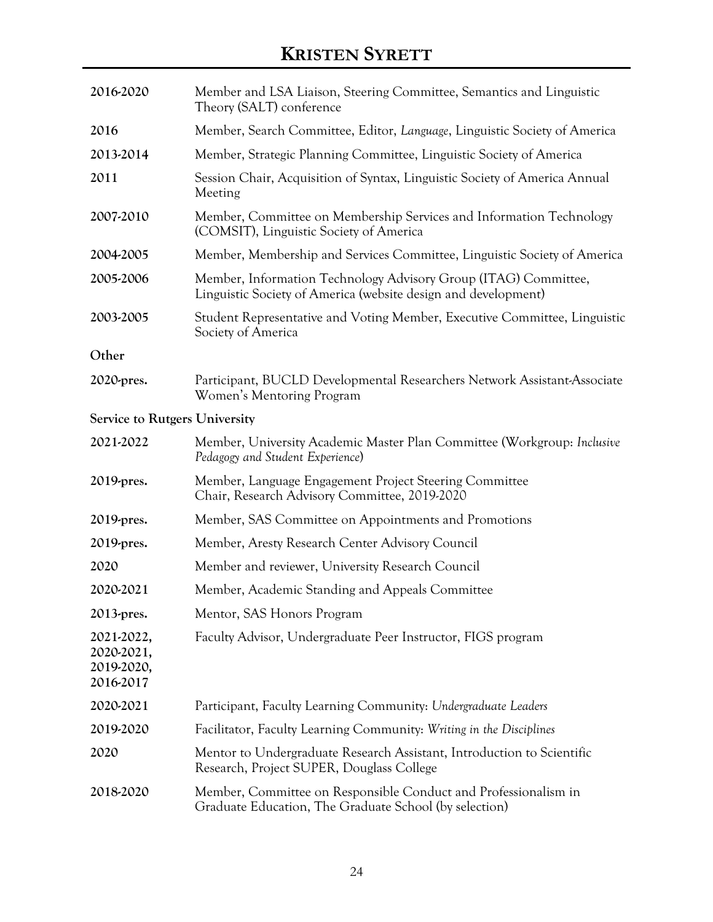| 2016-2020                                           | Member and LSA Liaison, Steering Committee, Semantics and Linguistic<br>Theory (SALT) conference                                  |
|-----------------------------------------------------|-----------------------------------------------------------------------------------------------------------------------------------|
| 2016                                                | Member, Search Committee, Editor, Language, Linguistic Society of America                                                         |
| 2013-2014                                           | Member, Strategic Planning Committee, Linguistic Society of America                                                               |
| 2011                                                | Session Chair, Acquisition of Syntax, Linguistic Society of America Annual<br>Meeting                                             |
| 2007-2010                                           | Member, Committee on Membership Services and Information Technology<br>(COMSIT), Linguistic Society of America                    |
| 2004-2005                                           | Member, Membership and Services Committee, Linguistic Society of America                                                          |
| 2005-2006                                           | Member, Information Technology Advisory Group (ITAG) Committee,<br>Linguistic Society of America (website design and development) |
| 2003-2005                                           | Student Representative and Voting Member, Executive Committee, Linguistic<br>Society of America                                   |
| Other                                               |                                                                                                                                   |
| 2020-pres.                                          | Participant, BUCLD Developmental Researchers Network Assistant-Associate<br>Women's Mentoring Program                             |
| <b>Service to Rutgers University</b>                |                                                                                                                                   |
| 2021-2022                                           | Member, University Academic Master Plan Committee (Workgroup: Inclusive<br>Pedagogy and Student Experience)                       |
| 2019-pres.                                          | Member, Language Engagement Project Steering Committee<br>Chair, Research Advisory Committee, 2019-2020                           |
| 2019-pres.                                          | Member, SAS Committee on Appointments and Promotions                                                                              |
| 2019-pres.                                          | Member, Aresty Research Center Advisory Council                                                                                   |
| 2020                                                | Member and reviewer, University Research Council                                                                                  |
| 2020-2021                                           | Member, Academic Standing and Appeals Committee                                                                                   |
| 2013-pres.                                          | Mentor, SAS Honors Program                                                                                                        |
| 2021-2022,<br>2020-2021,<br>2019-2020,<br>2016-2017 | Faculty Advisor, Undergraduate Peer Instructor, FIGS program                                                                      |
| 2020-2021                                           | Participant, Faculty Learning Community: Undergraduate Leaders                                                                    |
| 2019-2020                                           | Facilitator, Faculty Learning Community: Writing in the Disciplines                                                               |
| 2020                                                | Mentor to Undergraduate Research Assistant, Introduction to Scientific<br>Research, Project SUPER, Douglass College               |
| 2018-2020                                           | Member, Committee on Responsible Conduct and Professionalism in<br>Graduate Education, The Graduate School (by selection)         |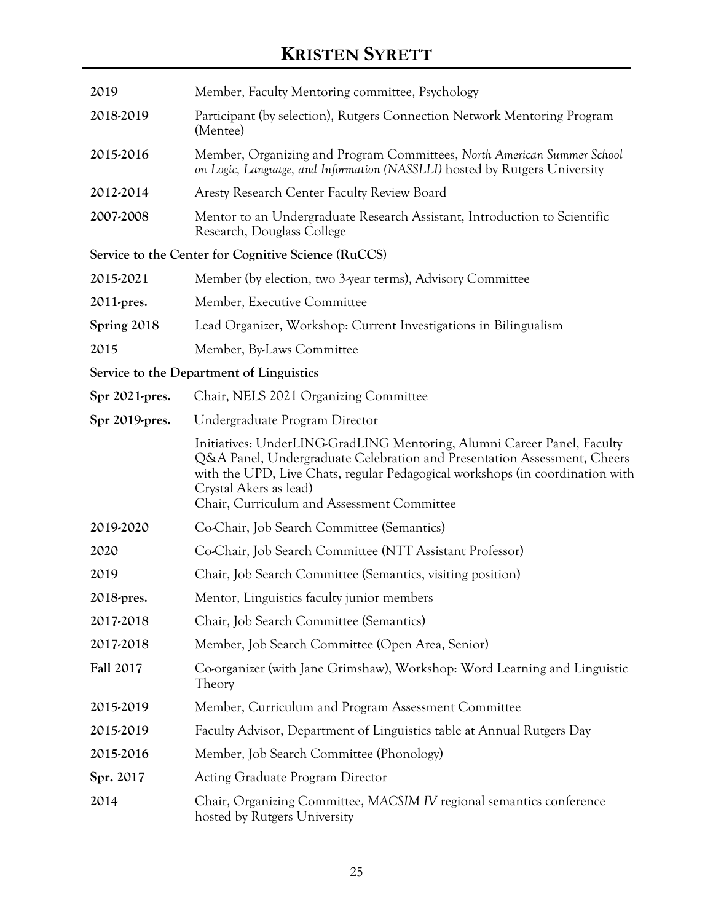| 2019             | Member, Faculty Mentoring committee, Psychology                                                                                                                                                                                                                                                              |
|------------------|--------------------------------------------------------------------------------------------------------------------------------------------------------------------------------------------------------------------------------------------------------------------------------------------------------------|
| 2018-2019        | Participant (by selection), Rutgers Connection Network Mentoring Program<br>(Mentee)                                                                                                                                                                                                                         |
| 2015-2016        | Member, Organizing and Program Committees, North American Summer School<br>on Logic, Language, and Information (NASSLLI) hosted by Rutgers University                                                                                                                                                        |
| 2012-2014        | Aresty Research Center Faculty Review Board                                                                                                                                                                                                                                                                  |
| 2007-2008        | Mentor to an Undergraduate Research Assistant, Introduction to Scientific<br>Research, Douglass College                                                                                                                                                                                                      |
|                  | Service to the Center for Cognitive Science (RuCCS)                                                                                                                                                                                                                                                          |
| 2015-2021        | Member (by election, two 3-year terms), Advisory Committee                                                                                                                                                                                                                                                   |
| 2011-pres.       | Member, Executive Committee                                                                                                                                                                                                                                                                                  |
| Spring 2018      | Lead Organizer, Workshop: Current Investigations in Bilingualism                                                                                                                                                                                                                                             |
| 2015             | Member, By-Laws Committee                                                                                                                                                                                                                                                                                    |
|                  | Service to the Department of Linguistics                                                                                                                                                                                                                                                                     |
| Spr 2021-pres.   | Chair, NELS 2021 Organizing Committee                                                                                                                                                                                                                                                                        |
| Spr 2019-pres.   | Undergraduate Program Director                                                                                                                                                                                                                                                                               |
|                  | Initiatives: UnderLING-GradLING Mentoring, Alumni Career Panel, Faculty<br>Q&A Panel, Undergraduate Celebration and Presentation Assessment, Cheers<br>with the UPD, Live Chats, regular Pedagogical workshops (in coordination with<br>Crystal Akers as lead)<br>Chair, Curriculum and Assessment Committee |
| 2019-2020        | Co-Chair, Job Search Committee (Semantics)                                                                                                                                                                                                                                                                   |
| 2020             | Co-Chair, Job Search Committee (NTT Assistant Professor)                                                                                                                                                                                                                                                     |
| 2019             | Chair, Job Search Committee (Semantics, visiting position)                                                                                                                                                                                                                                                   |
| 2018-pres.       | Mentor, Linguistics faculty junior members                                                                                                                                                                                                                                                                   |
| 2017-2018        | Chair, Job Search Committee (Semantics)                                                                                                                                                                                                                                                                      |
| 2017-2018        | Member, Job Search Committee (Open Area, Senior)                                                                                                                                                                                                                                                             |
| <b>Fall 2017</b> | Co-organizer (with Jane Grimshaw), Workshop: Word Learning and Linguistic<br>Theory                                                                                                                                                                                                                          |
| 2015-2019        | Member, Curriculum and Program Assessment Committee                                                                                                                                                                                                                                                          |
| 2015-2019        | Faculty Advisor, Department of Linguistics table at Annual Rutgers Day                                                                                                                                                                                                                                       |
| 2015-2016        | Member, Job Search Committee (Phonology)                                                                                                                                                                                                                                                                     |
| Spr. 2017        | <b>Acting Graduate Program Director</b>                                                                                                                                                                                                                                                                      |
| 2014             | Chair, Organizing Committee, MACSIM IV regional semantics conference<br>hosted by Rutgers University                                                                                                                                                                                                         |